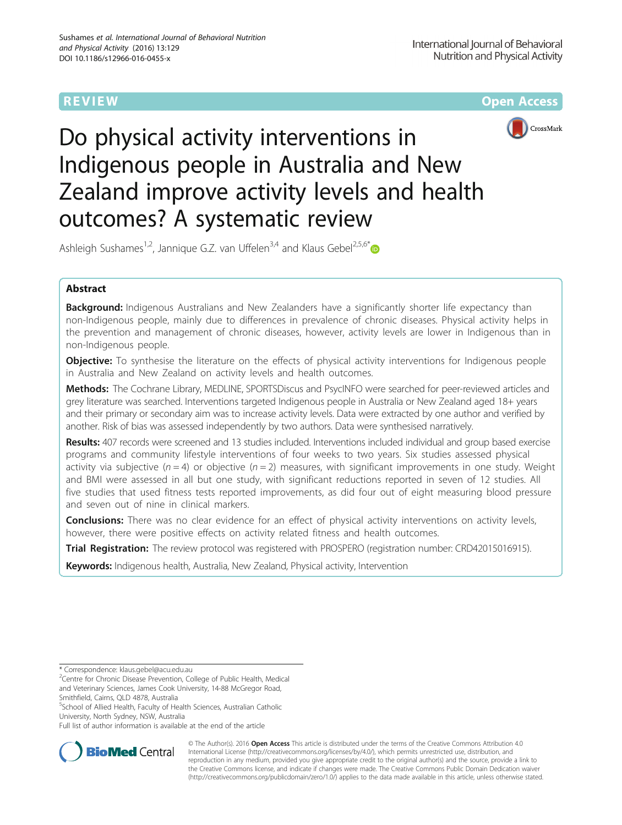**REVIEW CONTROL** CONTROL CONTROL CONTROL CONTROL CONTROL CONTROL CONTROL CONTROL CONTROL CONTROL CONTROL CONTROL



# Do physical activity interventions in Indigenous people in Australia and New Zealand improve activity levels and health outcomes? A systematic review

Ashleigh Sushames<sup>1,2</sup>, Jannique G.Z. van Uffelen<sup>3,4</sup> and Klaus Gebel<sup>2,5,6\*</sup>

## Abstract

Background: Indigenous Australians and New Zealanders have a significantly shorter life expectancy than non-Indigenous people, mainly due to differences in prevalence of chronic diseases. Physical activity helps in the prevention and management of chronic diseases, however, activity levels are lower in Indigenous than in non-Indigenous people.

**Objective:** To synthesise the literature on the effects of physical activity interventions for Indigenous people in Australia and New Zealand on activity levels and health outcomes.

Methods: The Cochrane Library, MEDLINE, SPORTSDiscus and PsycINFO were searched for peer-reviewed articles and grey literature was searched. Interventions targeted Indigenous people in Australia or New Zealand aged 18+ years and their primary or secondary aim was to increase activity levels. Data were extracted by one author and verified by another. Risk of bias was assessed independently by two authors. Data were synthesised narratively.

Results: 407 records were screened and 13 studies included. Interventions included individual and group based exercise programs and community lifestyle interventions of four weeks to two years. Six studies assessed physical activity via subjective ( $n = 4$ ) or objective ( $n = 2$ ) measures, with significant improvements in one study. Weight and BMI were assessed in all but one study, with significant reductions reported in seven of 12 studies. All five studies that used fitness tests reported improvements, as did four out of eight measuring blood pressure and seven out of nine in clinical markers.

**Conclusions:** There was no clear evidence for an effect of physical activity interventions on activity levels, however, there were positive effects on activity related fitness and health outcomes.

Trial Registration: The review protocol was registered with PROSPERO (registration number: [CRD42015016915\)](https://www.crd.york.ac.uk/PROSPERO/display_record.asp?ID=CRD42015016915).

Keywords: Indigenous health, Australia, New Zealand, Physical activity, Intervention

Smithfield, Cairns, QLD 4878, Australia

<sup>5</sup>School of Allied Health, Faculty of Health Sciences, Australian Catholic University, North Sydney, NSW, Australia

Full list of author information is available at the end of the article



© The Author(s). 2016 Open Access This article is distributed under the terms of the Creative Commons Attribution 4.0 International License [\(http://creativecommons.org/licenses/by/4.0/](http://creativecommons.org/licenses/by/4.0/)), which permits unrestricted use, distribution, and reproduction in any medium, provided you give appropriate credit to the original author(s) and the source, provide a link to the Creative Commons license, and indicate if changes were made. The Creative Commons Public Domain Dedication waiver [\(http://creativecommons.org/publicdomain/zero/1.0/](http://creativecommons.org/publicdomain/zero/1.0/)) applies to the data made available in this article, unless otherwise stated.

<sup>\*</sup> Correspondence: [klaus.gebel@acu.edu.au](mailto:klaus.gebel@acu.edu.au) <sup>2</sup>

<sup>&</sup>lt;sup>2</sup>Centre for Chronic Disease Prevention, College of Public Health, Medical and Veterinary Sciences, James Cook University, 14-88 McGregor Road,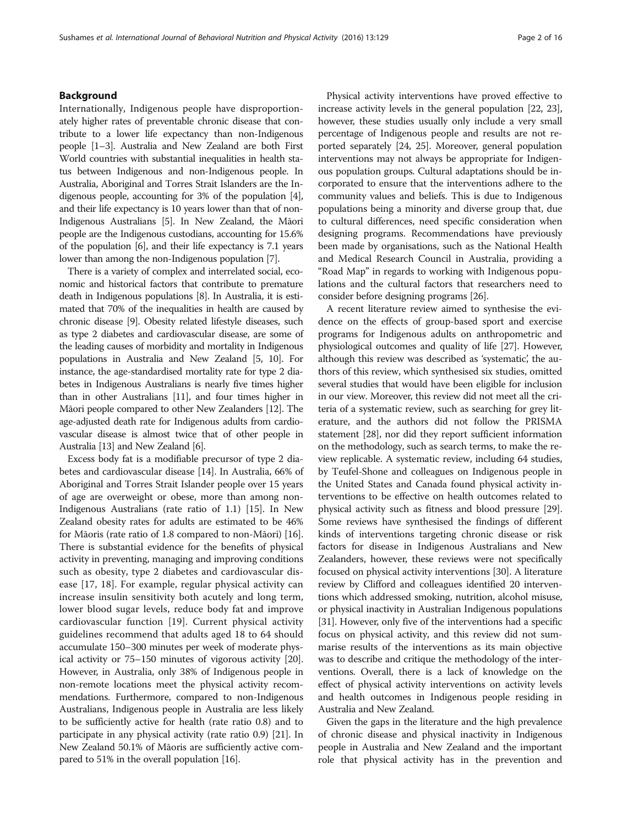#### Background

Internationally, Indigenous people have disproportionately higher rates of preventable chronic disease that contribute to a lower life expectancy than non-Indigenous people [\[1](#page-13-0)–[3](#page-13-0)]. Australia and New Zealand are both First World countries with substantial inequalities in health status between Indigenous and non-Indigenous people. In Australia, Aboriginal and Torres Strait Islanders are the Indigenous people, accounting for 3% of the population [[4](#page-13-0)], and their life expectancy is 10 years lower than that of non-Indigenous Australians [[5](#page-13-0)]. In New Zealand, the Māori people are the Indigenous custodians, accounting for 15.6% of the population [\[6\]](#page-13-0), and their life expectancy is 7.1 years lower than among the non-Indigenous population [\[7\]](#page-13-0).

There is a variety of complex and interrelated social, economic and historical factors that contribute to premature death in Indigenous populations [\[8\]](#page-13-0). In Australia, it is estimated that 70% of the inequalities in health are caused by chronic disease [\[9](#page-13-0)]. Obesity related lifestyle diseases, such as type 2 diabetes and cardiovascular disease, are some of the leading causes of morbidity and mortality in Indigenous populations in Australia and New Zealand [\[5, 10\]](#page-13-0). For instance, the age-standardised mortality rate for type 2 diabetes in Indigenous Australians is nearly five times higher than in other Australians [\[11\]](#page-13-0), and four times higher in Māori people compared to other New Zealanders [[12\]](#page-13-0). The age-adjusted death rate for Indigenous adults from cardiovascular disease is almost twice that of other people in Australia [\[13\]](#page-13-0) and New Zealand [\[6\]](#page-13-0).

Excess body fat is a modifiable precursor of type 2 diabetes and cardiovascular disease [\[14](#page-13-0)]. In Australia, 66% of Aboriginal and Torres Strait Islander people over 15 years of age are overweight or obese, more than among non-Indigenous Australians (rate ratio of 1.1) [[15](#page-13-0)]. In New Zealand obesity rates for adults are estimated to be 46% for Māoris (rate ratio of 1.8 compared to non-Māori) [[16](#page-13-0)]. There is substantial evidence for the benefits of physical activity in preventing, managing and improving conditions such as obesity, type 2 diabetes and cardiovascular disease [[17, 18](#page-13-0)]. For example, regular physical activity can increase insulin sensitivity both acutely and long term, lower blood sugar levels, reduce body fat and improve cardiovascular function [\[19](#page-13-0)]. Current physical activity guidelines recommend that adults aged 18 to 64 should accumulate 150–300 minutes per week of moderate physical activity or 75–150 minutes of vigorous activity [[20](#page-13-0)]. However, in Australia, only 38% of Indigenous people in non-remote locations meet the physical activity recommendations. Furthermore, compared to non-Indigenous Australians, Indigenous people in Australia are less likely to be sufficiently active for health (rate ratio 0.8) and to participate in any physical activity (rate ratio 0.9) [[21](#page-13-0)]. In New Zealand 50.1% of Māoris are sufficiently active compared to 51% in the overall population [\[16\]](#page-13-0).

Physical activity interventions have proved effective to increase activity levels in the general population [\[22, 23](#page-13-0)], however, these studies usually only include a very small percentage of Indigenous people and results are not reported separately [\[24,](#page-13-0) [25\]](#page-14-0). Moreover, general population interventions may not always be appropriate for Indigenous population groups. Cultural adaptations should be incorporated to ensure that the interventions adhere to the community values and beliefs. This is due to Indigenous populations being a minority and diverse group that, due to cultural differences, need specific consideration when designing programs. Recommendations have previously been made by organisations, such as the National Health and Medical Research Council in Australia, providing a "Road Map" in regards to working with Indigenous populations and the cultural factors that researchers need to consider before designing programs [\[26\]](#page-14-0).

A recent literature review aimed to synthesise the evidence on the effects of group-based sport and exercise programs for Indigenous adults on anthropometric and physiological outcomes and quality of life [[27](#page-14-0)]. However, although this review was described as 'systematic', the authors of this review, which synthesised six studies, omitted several studies that would have been eligible for inclusion in our view. Moreover, this review did not meet all the criteria of a systematic review, such as searching for grey literature, and the authors did not follow the PRISMA statement [[28](#page-14-0)], nor did they report sufficient information on the methodology, such as search terms, to make the review replicable. A systematic review, including 64 studies, by Teufel-Shone and colleagues on Indigenous people in the United States and Canada found physical activity interventions to be effective on health outcomes related to physical activity such as fitness and blood pressure [[29](#page-14-0)]. Some reviews have synthesised the findings of different kinds of interventions targeting chronic disease or risk factors for disease in Indigenous Australians and New Zealanders, however, these reviews were not specifically focused on physical activity interventions [\[30\]](#page-14-0). A literature review by Clifford and colleagues identified 20 interventions which addressed smoking, nutrition, alcohol misuse, or physical inactivity in Australian Indigenous populations [[31](#page-14-0)]. However, only five of the interventions had a specific focus on physical activity, and this review did not summarise results of the interventions as its main objective was to describe and critique the methodology of the interventions. Overall, there is a lack of knowledge on the effect of physical activity interventions on activity levels and health outcomes in Indigenous people residing in Australia and New Zealand.

Given the gaps in the literature and the high prevalence of chronic disease and physical inactivity in Indigenous people in Australia and New Zealand and the important role that physical activity has in the prevention and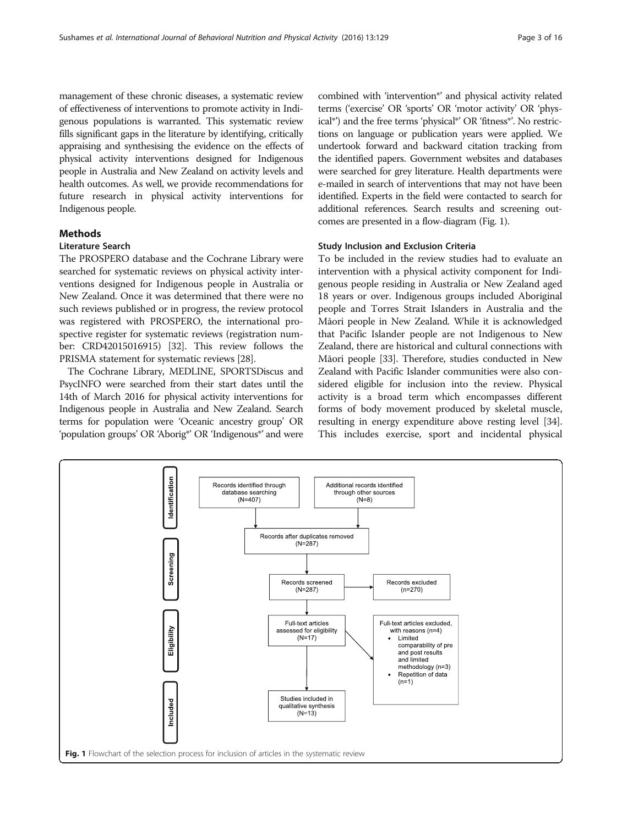<span id="page-2-0"></span>management of these chronic diseases, a systematic review of effectiveness of interventions to promote activity in Indigenous populations is warranted. This systematic review fills significant gaps in the literature by identifying, critically appraising and synthesising the evidence on the effects of physical activity interventions designed for Indigenous people in Australia and New Zealand on activity levels and health outcomes. As well, we provide recommendations for future research in physical activity interventions for Indigenous people.

#### Methods

#### Literature Search

The PROSPERO database and the Cochrane Library were searched for systematic reviews on physical activity interventions designed for Indigenous people in Australia or New Zealand. Once it was determined that there were no such reviews published or in progress, the review protocol was registered with PROSPERO, the international prospective register for systematic reviews (registration number: CRD42015016915) [\[32\]](#page-14-0). This review follows the PRISMA statement for systematic reviews [\[28\]](#page-14-0).

The Cochrane Library, MEDLINE, SPORTSDiscus and PsycINFO were searched from their start dates until the 14th of March 2016 for physical activity interventions for Indigenous people in Australia and New Zealand. Search terms for population were 'Oceanic ancestry group' OR 'population groups' OR 'Aborig\*' OR 'Indigenous\*' and were combined with 'intervention\*' and physical activity related terms ('exercise' OR 'sports' OR 'motor activity' OR 'physical\*') and the free terms 'physical\*' OR 'fitness\*'. No restrictions on language or publication years were applied. We undertook forward and backward citation tracking from the identified papers. Government websites and databases were searched for grey literature. Health departments were e-mailed in search of interventions that may not have been identified. Experts in the field were contacted to search for additional references. Search results and screening outcomes are presented in a flow-diagram (Fig. 1).

#### Study Inclusion and Exclusion Criteria

To be included in the review studies had to evaluate an intervention with a physical activity component for Indigenous people residing in Australia or New Zealand aged 18 years or over. Indigenous groups included Aboriginal people and Torres Strait Islanders in Australia and the Māori people in New Zealand. While it is acknowledged that Pacific Islander people are not Indigenous to New Zealand, there are historical and cultural connections with Māori people [[33](#page-14-0)]. Therefore, studies conducted in New Zealand with Pacific Islander communities were also considered eligible for inclusion into the review. Physical activity is a broad term which encompasses different forms of body movement produced by skeletal muscle, resulting in energy expenditure above resting level [[34](#page-14-0)]. This includes exercise, sport and incidental physical

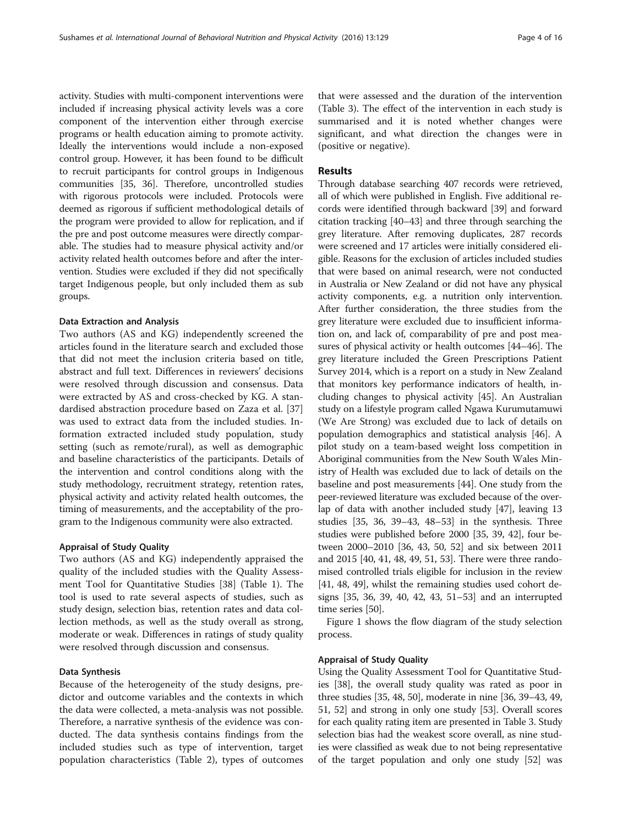activity. Studies with multi-component interventions were included if increasing physical activity levels was a core component of the intervention either through exercise programs or health education aiming to promote activity. Ideally the interventions would include a non-exposed control group. However, it has been found to be difficult to recruit participants for control groups in Indigenous communities [\[35, 36\]](#page-14-0). Therefore, uncontrolled studies with rigorous protocols were included. Protocols were deemed as rigorous if sufficient methodological details of the program were provided to allow for replication, and if the pre and post outcome measures were directly comparable. The studies had to measure physical activity and/or activity related health outcomes before and after the intervention. Studies were excluded if they did not specifically target Indigenous people, but only included them as sub groups.

#### Data Extraction and Analysis

Two authors (AS and KG) independently screened the articles found in the literature search and excluded those that did not meet the inclusion criteria based on title, abstract and full text. Differences in reviewers' decisions were resolved through discussion and consensus. Data were extracted by AS and cross-checked by KG. A standardised abstraction procedure based on Zaza et al. [[37](#page-14-0)] was used to extract data from the included studies. Information extracted included study population, study setting (such as remote/rural), as well as demographic and baseline characteristics of the participants. Details of the intervention and control conditions along with the study methodology, recruitment strategy, retention rates, physical activity and activity related health outcomes, the timing of measurements, and the acceptability of the program to the Indigenous community were also extracted.

#### Appraisal of Study Quality

Two authors (AS and KG) independently appraised the quality of the included studies with the Quality Assessment Tool for Quantitative Studies [\[38](#page-14-0)] (Table [1\)](#page-4-0). The tool is used to rate several aspects of studies, such as study design, selection bias, retention rates and data collection methods, as well as the study overall as strong, moderate or weak. Differences in ratings of study quality were resolved through discussion and consensus.

#### Data Synthesis

Because of the heterogeneity of the study designs, predictor and outcome variables and the contexts in which the data were collected, a meta-analysis was not possible. Therefore, a narrative synthesis of the evidence was conducted. The data synthesis contains findings from the included studies such as type of intervention, target population characteristics (Table [2\)](#page-5-0), types of outcomes that were assessed and the duration of the intervention (Table [3](#page-7-0)). The effect of the intervention in each study is summarised and it is noted whether changes were significant, and what direction the changes were in (positive or negative).

#### Results

Through database searching 407 records were retrieved, all of which were published in English. Five additional records were identified through backward [\[39\]](#page-14-0) and forward citation tracking [[40](#page-14-0)–[43\]](#page-14-0) and three through searching the grey literature. After removing duplicates, 287 records were screened and 17 articles were initially considered eligible. Reasons for the exclusion of articles included studies that were based on animal research, were not conducted in Australia or New Zealand or did not have any physical activity components, e.g. a nutrition only intervention. After further consideration, the three studies from the grey literature were excluded due to insufficient information on, and lack of, comparability of pre and post measures of physical activity or health outcomes [\[44](#page-14-0)–[46](#page-14-0)]. The grey literature included the Green Prescriptions Patient Survey 2014, which is a report on a study in New Zealand that monitors key performance indicators of health, including changes to physical activity [[45](#page-14-0)]. An Australian study on a lifestyle program called Ngawa Kurumutamuwi (We Are Strong) was excluded due to lack of details on population demographics and statistical analysis [\[46\]](#page-14-0). A pilot study on a team-based weight loss competition in Aboriginal communities from the New South Wales Ministry of Health was excluded due to lack of details on the baseline and post measurements [\[44](#page-14-0)]. One study from the peer-reviewed literature was excluded because of the overlap of data with another included study [[47\]](#page-14-0), leaving 13 studies [[35](#page-14-0), [36](#page-14-0), [39](#page-14-0)–[43, 48](#page-14-0)–[53](#page-14-0)] in the synthesis. Three studies were published before 2000 [[35, 39](#page-14-0), [42](#page-14-0)], four between 2000–2010 [\[36, 43, 50](#page-14-0), [52](#page-14-0)] and six between 2011 and 2015 [[40, 41](#page-14-0), [48, 49, 51](#page-14-0), [53](#page-14-0)]. There were three randomised controlled trials eligible for inclusion in the review [[41](#page-14-0), [48, 49\]](#page-14-0), whilst the remaining studies used cohort designs [[35, 36, 39](#page-14-0), [40](#page-14-0), [42](#page-14-0), [43](#page-14-0), [51](#page-14-0)–[53\]](#page-14-0) and an interrupted time series [\[50\]](#page-14-0).

Figure [1](#page-2-0) shows the flow diagram of the study selection process.

### Appraisal of Study Quality

Using the Quality Assessment Tool for Quantitative Studies [\[38\]](#page-14-0), the overall study quality was rated as poor in three studies [\[35](#page-14-0), [48, 50](#page-14-0)], moderate in nine [\[36](#page-14-0), [39](#page-14-0)–[43, 49](#page-14-0), [51](#page-14-0), [52\]](#page-14-0) and strong in only one study [[53](#page-14-0)]. Overall scores for each quality rating item are presented in Table [3](#page-7-0). Study selection bias had the weakest score overall, as nine studies were classified as weak due to not being representative of the target population and only one study [[52](#page-14-0)] was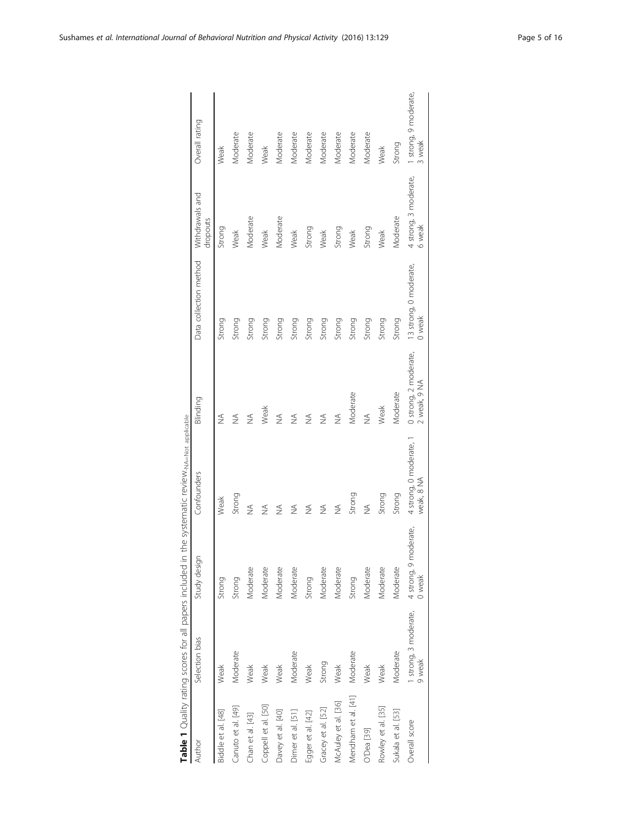<span id="page-4-0"></span>

|                     |                                 |                                    | Table 1 Quality rating scores for all papers included in the systematic review MA-Not applicable |                                       |                                  |                                 |                                 |
|---------------------|---------------------------------|------------------------------------|--------------------------------------------------------------------------------------------------|---------------------------------------|----------------------------------|---------------------------------|---------------------------------|
| Author              | Selection bias                  | Study design                       | Confounders                                                                                      | Blinding                              | Data collection method           | Withdrawals and<br>dropouts     | Overall rating                  |
| Biddle et al. [48]  | Weak                            | Strong                             | Weak                                                                                             | ≸                                     | Strong                           | Strong                          | Weak                            |
| Canuto et al. [49]  | Moderate                        | Strong                             | Strong                                                                                           | ≸                                     | Strong                           | Weak                            | Moderate                        |
| Chan et al. [43]    | Weak                            | Moderate                           | $\frac{1}{2}$                                                                                    | ≸                                     | Strong                           | Moderate                        | Moderate                        |
| Coppell et al. [50] | Weak                            | Moderate                           | $\frac{1}{2}$                                                                                    | Weak                                  | Strong                           | Weak                            | Weak                            |
| Davey et al. [40]   | Weak                            | Moderate                           | $\frac{1}{2}$                                                                                    | ≸                                     | Strong                           | Moderate                        | Moderate                        |
| Dimer et al. [51]   | Moderate                        | Moderate                           | $\frac{1}{2}$                                                                                    | ≸                                     | Strong                           | Weak                            | Moderate                        |
| Egger et al. [42]   | Weak                            | Strong                             | $\frac{1}{2}$                                                                                    | ≸                                     | Strong                           | Strong                          | Moderate                        |
| Gracey et al. [52]  | Strong                          | Moderate                           | $\frac{1}{2}$                                                                                    | ≸                                     | Strong                           | Weak                            | Moderate                        |
| McAuley et al. [36] | Weak                            | Moderate                           | $\frac{1}{2}$                                                                                    | ≸                                     | Strong                           | Strong                          | Moderate                        |
| Mendham et al. [41] | Moderate                        | Strong                             | Strong                                                                                           | Moderate                              | Strong                           | Weak                            | Moderate                        |
| O'Dea [39]          | Weak                            | Moderate                           | $\frac{1}{2}$                                                                                    | ≸                                     | Strong                           | Strong                          | Moderate                        |
| Rowley et al. [35]  | Weak                            | Moderate                           | Strong                                                                                           | Weak                                  | Strong                           | Weak                            | Weak                            |
| Sukala et al. [53]  | Moderate                        | Moderate                           | Strong                                                                                           | Moderate                              | Strong                           | Moderate                        | Strong                          |
| Overall score       | I strong, 3 moderate,<br>9 weak | moderate,<br>4 strong, 9<br>0 weak | 4 strong, 0 moderate, 1<br>weak, 8 NA                                                            | 0 strong, 2 moderate,<br>2 weak, 9 NA | 13 strong, 0 moderate,<br>0 weak | 4 strong, 3 moderate,<br>6 weak | I strong, 9 moderate,<br>3 weak |
|                     |                                 |                                    |                                                                                                  |                                       |                                  |                                 |                                 |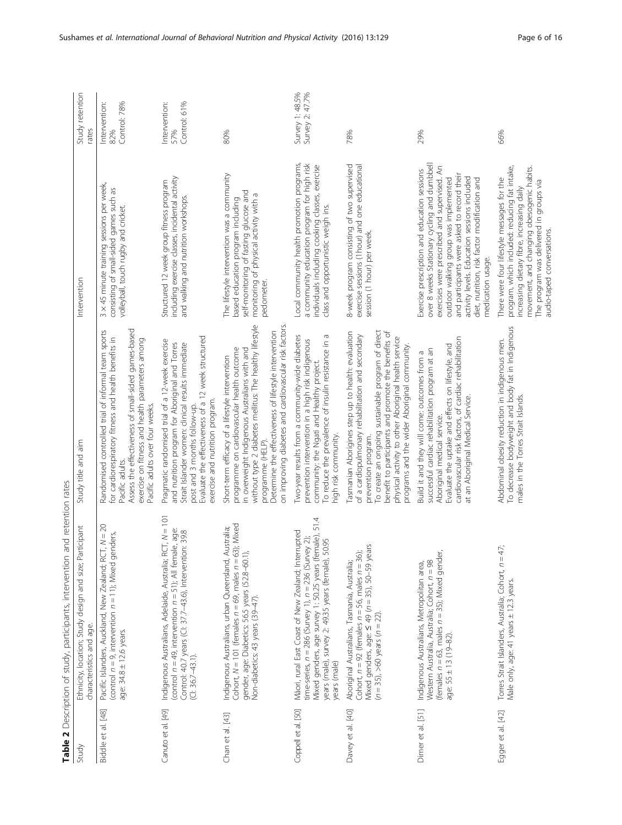<span id="page-5-0"></span>

|                     | Table 2 Description of study, participants, intervention and retention rates                                                                                                                                                                         |                                                                                                                                                                                                                                                                                                                                                     |                                                                                                                                                                                                                                                                                                                                                            |                                      |
|---------------------|------------------------------------------------------------------------------------------------------------------------------------------------------------------------------------------------------------------------------------------------------|-----------------------------------------------------------------------------------------------------------------------------------------------------------------------------------------------------------------------------------------------------------------------------------------------------------------------------------------------------|------------------------------------------------------------------------------------------------------------------------------------------------------------------------------------------------------------------------------------------------------------------------------------------------------------------------------------------------------------|--------------------------------------|
| Study               | Participant<br>Ethnicity, location; Study design and size;<br>characteristics and age                                                                                                                                                                | Study title and aim                                                                                                                                                                                                                                                                                                                                 | Intervention                                                                                                                                                                                                                                                                                                                                               | Study retention<br>rates             |
| Biddle et al. [48]  | Pacific Islanders, Auckland, New Zealand; RCT, N = 20<br>(control $n = 9$ , intervention $n = 11$ ); Mixed genders,<br>age: 34.8 ± 12.6 years.                                                                                                       | Assess the effectiveness of small-sided games-based<br>Randomised controlled trial of informal team sports<br>for cardiorespiratory fitness and health benefits in<br>exercise on fitness and health parameters among<br>Pacific adults over four weeks.<br>Pacific adults.                                                                         | 3 × 45 minute training sessions per week,<br>consisting of small-sided games such as<br>volleyball, touch rugby and cricket.                                                                                                                                                                                                                               | Intervention:<br>Control: 78%<br>82% |
| Canuto et al. [49]  | $RT, N = 101$<br>(control $n = 49$ , intervention $n = 51$ ); All female, age:<br>Control: 40.7 years (Cl: 37.7-43.6), Intervention: 39.8<br>Indigenous Australians, Adelaide, Australia;<br>$(C: 36.7 - 43.1)$ .                                    | Evaluate the effectiveness of a 12 week structured<br>Pragmatic randomised trial of a 12-week exercise<br>Strait Islander women: clinical results immediate<br>and nutrition program for Aboriginal and Torres<br>exercise and nutrition program.<br>post and 3 months follow-up.                                                                   | including exercise classes, incidental activity<br>Structured 12 week group fitness program<br>and walking and nutrition workshops.                                                                                                                                                                                                                        | Intervention:<br>Control: 61%<br>57% |
| Chan et al. [43]    | 63); Mixed<br>Australia;<br>gender, age: Diabetics: 56.5 years (52.8-60.1),<br>Indigenous Australians, urban Queensland,<br>Cohort, $N = 101$ (females $n = 69$ , males $n =$<br>Non-diabetics: 43 years (39-47).                                    | without type 2 diabetes mellitus: The healthy lifestyle<br>on improving diabetes and cardiovascular risk factors.<br>Determine the effectiveness of lifestyle intervention<br>programme on cardiovascular health outcome<br>in overweight Indigenous Australians with and<br>Short-term efficacy of a lifestyle intervention<br>programme (HELP).   | The lifestyle intervention was a community<br>self-monitoring of fasting glucose and<br>monitoring of physical activity with a<br>based education program including<br>pedometer.                                                                                                                                                                          | 80%                                  |
| Coppell et al. [50] | Mixed genders, age survey 1: 50.25 years (female), 51.4<br>Mãori, rural East Coast of New Zealand; Interrupted<br>time-series, $n = 286$ (Survey 1), $n = 236$ (Survey 2);<br>50.95<br>years (male), survey 2: 49.35 years (female),<br>years (male) | Two-year results from a community-wide diabetes<br>To reduce the prevalence of insulin resistance in a<br>prevention intervention in a high risk indigenous<br>community: the Ngati and Healthy project.<br>high risk community.                                                                                                                    | Local community health promotion programs,<br>a community education program for high risk<br>individuals including cooking classes, exercise<br>class and opportunistic weigh ins.                                                                                                                                                                         | Survey 1: 48.5%<br>Survey 2: 47.7%   |
| Davey et al. [40]   | Mixed genders, age: $\leq$ 49 ( $n = 35$ ), $50-59$ years<br>Cohort, $n = 92$ (females $n = 56$ , males $n = 36$ );<br>Aboriginal Australians, Tasmania, Australia;<br>$(n = 35)$ , >60 years $(n = 22)$ .                                           | To create an ongoing sustainable program of direct<br>benefit to participants and promote the benefits of<br>Tasmanian Aborigines step up to health: evaluation<br>of a cardiopulmonary rehabilitation and secondary<br>physical activity to other Aboriginal health service<br>programs and the wider Aboriginal community.<br>prevention program. | 8-week program consisting of two supervised<br>exercise sessions (1hour) and one educational<br>session (1 hour) per week.                                                                                                                                                                                                                                 | 78%                                  |
| Dimer et al. [51]   | er,<br>Western Australia, Australia; Cohort, n = 98<br>(females $n = 63$ , males $n = 35$ ); Mixed gend<br>Indigenous Australians, Metropolitan area,<br>age: $55 \pm 13 (19 - 82)$ .                                                                | cardiovascular risk factors, of cardiac rehabilitation<br>Evaluate the uptake and effects on lifestyle, and<br>successful cardiac rehabilitation program at an<br>Build it and they will come: outcomes from a<br>at an Aboriginal Medical Service.<br>Aboriginal medical service.                                                                  | over 8 weeks Stationary cycling and dumbbell<br>exercises were prescribed and supervised. An<br>Exercise prescription and education sessions<br>and participants were asked to record their<br>outdoor walking group was implemented<br>activity levels. Education sessions included<br>diet, nutrition, risk factor modification and<br>medication usage. | 29%                                  |
| Egger et al. [42]   | Torres Strait Islanders, Australia; Cohort, $n = 47$ ;<br>Male only, age: 41 years ± 12.3 years.                                                                                                                                                     | To decrease bodyweight and body fat in Indigenous<br>Abdominal obesity reduction in indigenous men.<br>males in the Torres Strait Islands.                                                                                                                                                                                                          | program, which included: reducing fat intake,<br>movement, and changing obesogenic habits.<br>There were four lifestyle messages for the<br>The program was delivered in groups via<br>increasing dietary fibre, increasing daily<br>audio-taped conversations.                                                                                            | 66%                                  |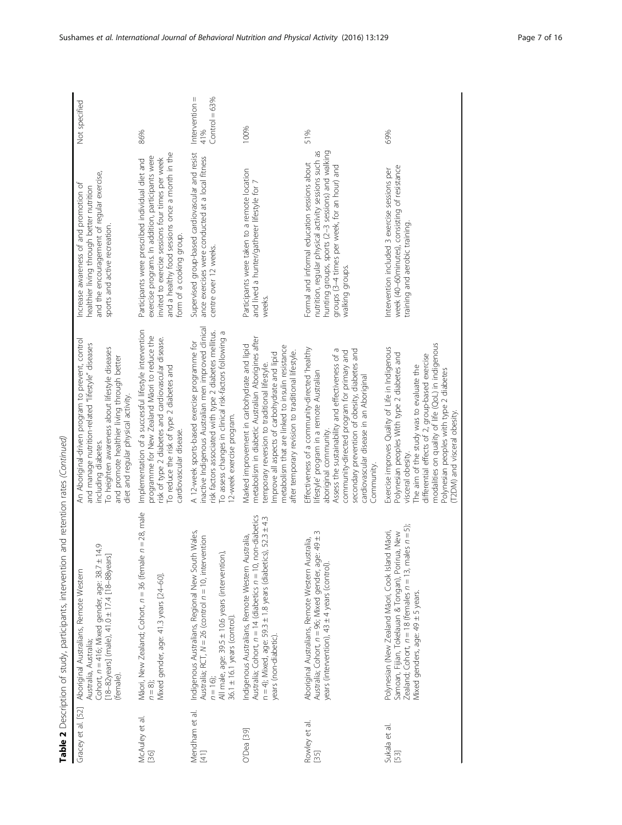|                          | Table 2 Description of study, participants, intervention                                                                                                                                                                 | and retention rates (Continued)                                                                                                                                                                                                                                                                                                                    |                                                                                                                                                                                                                                          |                                          |
|--------------------------|--------------------------------------------------------------------------------------------------------------------------------------------------------------------------------------------------------------------------|----------------------------------------------------------------------------------------------------------------------------------------------------------------------------------------------------------------------------------------------------------------------------------------------------------------------------------------------------|------------------------------------------------------------------------------------------------------------------------------------------------------------------------------------------------------------------------------------------|------------------------------------------|
| Gracey et al. [52]       | 4.9<br>[18-82years] (male), 41.0 ± 17.4 [18-88years]<br>Cohort, $n = 416$ ; Mixed gender, age: 38.7 $\pm$ 1<br>Aboriginal Australians, Remote Western<br>Australia, Australia;<br>female).                               | An Aboriginal-driven program to prevent, control<br>and manage nutrition-related "lifestyle" diseases<br>To heighten awareness about lifestyle diseases<br>and promote healthier living through better<br>diet and regular physical activity.<br>including diabetes.                                                                               | and the encouragement of regular exercise,<br>Increase awareness of and promotion of<br>healthier living through better nutrition<br>sports and active recreation.                                                                       | Not specified                            |
| McAuley et al.<br>[36]   | $n = 28$ , male<br>Māori, New Zealand; Cohort, n = 36 (female<br>Mixed gender, age: 41.3 years [24-60].<br>$n = 8$ :                                                                                                     | Implementation of a successful lifestyle intervention<br>programme for New Zealand Māori to reduce the<br>risk of type 2 diabetes and cardiovascular disease.<br>To reduce the risk of type 2 diabetes and<br>cardiovascular disease.                                                                                                              | and a healthy food sessions once a month in the<br>exercise programs. In addition, participants were<br>invited to exercise sessions four times per week<br>Participants were prescribed individual diet and<br>form of a cooking group. | 86%                                      |
| Mendham et al.<br>$[41]$ | Wales,<br>Australia; RCT, $N = 26$ (control $n = 10$ , intervention<br>Indigenous Australians, Regional New South<br>All male, age: 39.5 ± 10.6 years (intervention)<br>$36.1 \pm 16.1$ years (control).<br>$n = 16$ ;   | inactive Indigenous Australian men improved clinical<br>risk factors associated with type 2 diabetes mellitus.<br>To assess changes in clinical risk-factors following a<br>A 12-week sports-based exercise programme for<br>2-week exercise program.                                                                                              | Supervised group-based cardiovascular and resist<br>ance exercises were conducted at a local fitness<br>centre over 12 weeks.                                                                                                            | Intervention =<br>$Control = 63%$<br>41% |
| O'Dea [39]               | Australia; Cohort, $n = 14$ (diabetics $n = 10$ , non-diabetics<br>$n = 4$ ); Mixed, age: 59.3 $\pm$ 1.8 years (diabetics), 52.3 $\pm$ 4.3<br>Indigenous Australians, Remote Western Australia,<br>years (non-diabetic). | metabolism in diabetic Australian Aborigines after<br>Marked improvement in carbohydrate and lipid<br>metabolism that are linked to insulin resistance<br>after temporary revision to traditional lifestyle.<br>mprove all aspects of carbohydrate and lipid<br>temporary reversion to traditional lifestyle.                                      | Participants were taken to a remote location<br>and lived a hunter/gatherer lifestyle for 7<br>weeks.                                                                                                                                    | 100%                                     |
| Rowley et al.<br>$[35]$  | 49 ± 3<br>Aboriginal Australians, Remote Western Australia,<br>Australia; Cohort, n = 96; Mixed gender, age:<br>years (intervention), $43 \pm 4$ years (control).                                                        | Effectiveness of a community-directed 'healthy<br>Assess the sustainability and effectiveness of a<br>secondary prevention of obesity, diabetes and<br>community-directed program for primary and<br>lifestyle' program in a remote Australian<br>cardiovascular disease in an Aboriginal<br>aboriginal community.<br>Community.                   | hunting groups, sports (2-3 sessions) and walking<br>nutrition, regular physical activity sessions such as<br>Formal and informal education sessions about<br>groups (3–4 times per week, for an hour) and<br>walking groups.            | 51%                                      |
| Sukala et al.<br>$[53]$  | Zealand; Cohort, $n = 18$ (females $n = 13$ , males $n = 5$ );<br>Māori,<br>Samoan, Fijian, Tokelauan & Tongan), Porirua, New<br>Polynesian (New Zealand Māori, Cook Island<br>Mixed genders, age: 49 ± 5 years.         | modalities on quality of life (QoL) in indigenous<br>Exercise improves Quality of Life in Indigenous<br>Polynesian peoples With type 2 diabetes and<br>differential effects of 2, group-based exercise<br>The aim of the study was to evaluate the<br>Polynesian peoples with type 2 diabetes<br>(T2DM) and visceral obesity.<br>visceral obesity. | week (40-60minutes), consisting of resistance<br>Intervention included 3 exercise sessions per<br>training and aerobic training.                                                                                                         | 69%                                      |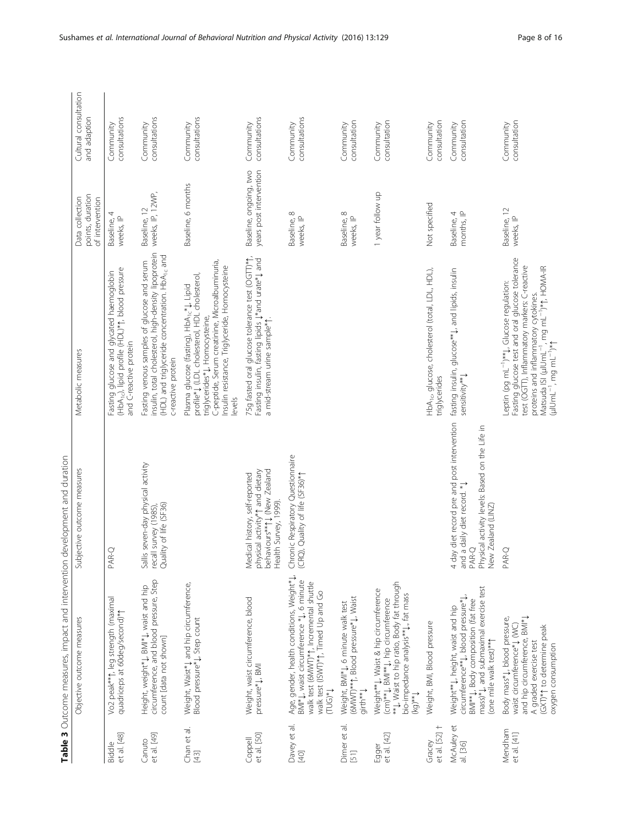<span id="page-7-0"></span>

|                         | Table 3 Outcome measures, impact and intervention development and duration                                                                                                                            |                                                                                                                                                             |                                                                                                                                                                                                                                                                                                                                                     |                                                        |                                       |
|-------------------------|-------------------------------------------------------------------------------------------------------------------------------------------------------------------------------------------------------|-------------------------------------------------------------------------------------------------------------------------------------------------------------|-----------------------------------------------------------------------------------------------------------------------------------------------------------------------------------------------------------------------------------------------------------------------------------------------------------------------------------------------------|--------------------------------------------------------|---------------------------------------|
|                         | Objective outcome measures                                                                                                                                                                            | Subjective outcome measures                                                                                                                                 | Metabolic measures                                                                                                                                                                                                                                                                                                                                  | points, duration<br>Data collection<br>of intervention | Cultural consultation<br>and adaption |
| et al. [48]<br>Biddle   | Vo2 peak**1, leg strength (maximal<br>quadriceps at 60deg/second)*1                                                                                                                                   | PAR-Q                                                                                                                                                       | (HbA12). lipid profile (HDL)*1, blood pressure<br>Fasting glucose and glycated haemoglobin<br>and C-reactive protein                                                                                                                                                                                                                                | Baseline, 4<br>weeks, IP                               | consultations<br>Community            |
| et al. [49]<br>Canuto   | circumference, and blood pressure, Step<br>Height, weight*1, BMI*1, waist and hip<br>count [data not shown]                                                                                           | Sallis seven-day physical activity<br>Quality of life (SF36)<br>recall survey (1985)                                                                        | insulin, total cholesterol, high-density lipoprotein<br>(HDL) and triglyceride concentration. HbA <sub>1c</sub> and<br>Fasting venous samples of glucose and serum<br>c-reactive protein                                                                                                                                                            | weeks, IP, 12WP,<br>Baseline, 12                       | consultations<br>Community            |
| Chan et al.<br>$[43]$   | Weight, Waist*1 and hip circumference,<br>Blood pressure*1, Step count                                                                                                                                |                                                                                                                                                             | C-peptide, Serum creatinine, Microalbuminuria,<br>Insulin resistance, Triglyceride, Homocysteine<br>Plasma glucose (fasting), HbA <sub>1c</sub> *↓ Lipid<br>profile*↓ (LDL cholesterol, HDL cholesterol,<br>triglycerides*1, Homocysteine,<br>levels                                                                                                | Baseline, 6 months                                     | consultations<br>Community            |
| et al. [50]<br>Coppell  | Weight, waist circumference, blood<br>pressure*1, BMI                                                                                                                                                 | physical activity*1 and dietary<br>behaviours*** 1 (New Zealand<br>Medical history, self-reported<br>Health Survey, 1999).                                  | 75g fasted oral glucose tolerance test (OGTT)*1,<br>Fasting insulin, fasting lipids $\downarrow^*$ and urate* $\downarrow$ and<br>a mid-stream urine sample*1.                                                                                                                                                                                      | years post intervention<br>Baseline, ongoing, two      | consultations<br>Community            |
| Davey et al.<br>$[40]$  | Age, gender, health conditions, Weight*1,<br>BMI*1, waist circumference *1, 6 minute<br>walk test (6MWT)*1, Incremental shuttle<br>walk test (ISWT)*1, Timed Up and Go<br>$(TUG)^*L$                  | Chronic Respiratory Questionnaire<br>(CRQ), Quality of life (SF36)*1                                                                                        |                                                                                                                                                                                                                                                                                                                                                     | $\infty$<br>Baseline, 8<br>weeks, IP                   | consultations<br>Community            |
| Dimer et al.<br>[51]    | (6MWT)**1, Blood pressure*1, Waist<br>Weight, BMI*1, 6 minute walk test<br>girth**1                                                                                                                   |                                                                                                                                                             |                                                                                                                                                                                                                                                                                                                                                     | Baseline, 8<br>weeks, IP                               | consultation<br>Community             |
| et al. [42]<br>Egger    | ***,, Waist to hip ratio, Body fat through<br>bio-impedance analysis**,, fat mass<br>Weight** L, Waist & hip circumference<br>(cm)**1, BMI**1, hip circumference<br>$\uparrow^{\ast\ast}(\mathbb{S})$ |                                                                                                                                                             |                                                                                                                                                                                                                                                                                                                                                     | 1 year follow up                                       | consultation<br>Community             |
| et al. [52] †<br>Gracey | Weight, BMI, Blood pressure                                                                                                                                                                           |                                                                                                                                                             | HbA <sub>1c</sub> , glucose, cholesterol (total, LDL, HDL),<br>triglycerides                                                                                                                                                                                                                                                                        | Not specified                                          | consultation<br>Community             |
| McAuley et<br>al. [36]  | mass)*1, and submaximal exercise test<br>circumference**1, blood pressure*1,<br>BMI <sup>**</sup> J, Body composition (fat free<br>Weight** L, height, waist and hip<br>(one mile walk test)***       | 4 day diet record pre and post intervention<br>Physical activity levels: Based on the Life in<br>and a daily diet record. *!<br>New Zealand (LINZ)<br>PAR-Q | fasting insulin, glucose** L, and lipids, insulin<br>sensitivity**1                                                                                                                                                                                                                                                                                 | baseline, 4<br>months, IP<br>Baseline,                 | consultation<br>Community             |
| Mendham<br>et al. [41]  | and hip circumference, BMI*1<br>Body mass*1, blood pressure,<br>waist circumference*1 (WC)<br>(GXT)*1 to determine peak<br>A graded exercise test<br>oxygen consumption                               | PAR-Q                                                                                                                                                       | Fasting glucose test and oral glucose tolerance<br>test (OGTT), Inflammatory markers: C-reactive<br>Matsuda ISI (µIUmL <sup>-1</sup> , mg <sup>ʻ</sup> mL <sup>-1</sup> )*†, HOMA-IR<br>(µIUmL <sup>-1</sup> , mg mL <sup>-1</sup> )*†<br>Leptin (pg mL <sup>-1</sup> ) <sup>**</sup> , Glucose regulation:<br>proteins and inflammatory cytokines. | Baseline, 12<br>weeks, IP                              | consultation<br>Community             |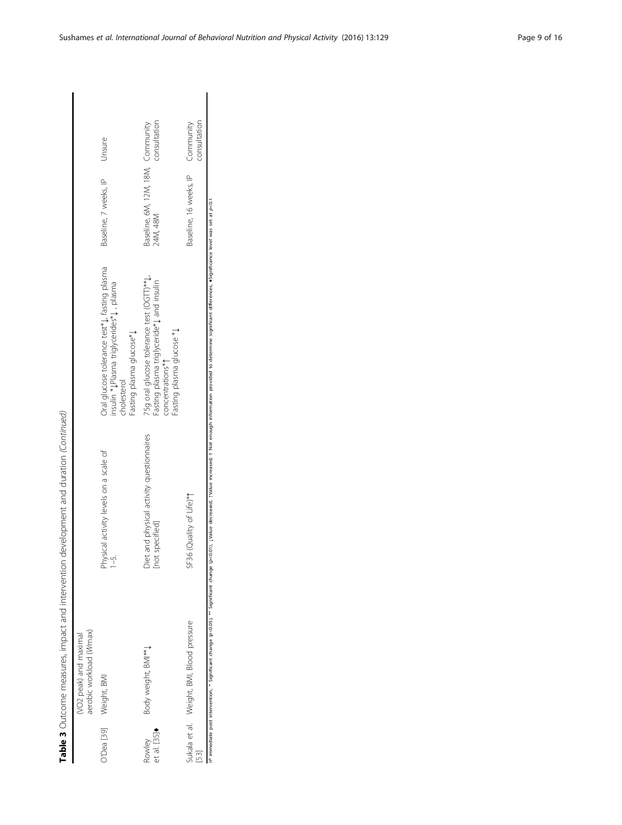| Weight, BMI<br>O'Dea [39]                                         | aerobic workload (Wmax) |                                                                |                                                                                                                                           |                                               |                           |
|-------------------------------------------------------------------|-------------------------|----------------------------------------------------------------|-------------------------------------------------------------------------------------------------------------------------------------------|-----------------------------------------------|---------------------------|
|                                                                   |                         | Physical activity levels on a scale of                         | Oral glucose tolerance test*1, fasting plasma<br>insulin *JPlasma triglycerides*J, plasma<br>Fasting plasma glucose*1<br>cholesterol      | Baseline, 7 weeks, IP                         | Unsure                    |
| Body weight, BMI <sup>**</sup><br>et al. [35] $\bullet$<br>Rowley |                         | and physical activity questionnaires<br>[not specified]<br>jet | 75g oral glucose tolerance test (OGTT)***1,<br>Fasting plasma triglyceride*1 and insulin<br>Fasting plasma glucose *1<br>concentrations*1 | Baseline, 6M, 12M, 18M, Community<br>24M, 48M | consultation              |
| Sukala et al. Weight, BMI, Blood pressure<br>53]                  |                         | SF36 (Quality of Life)*1                                       |                                                                                                                                           | Baseline, 16 weeks, IP                        | Community<br>consultation |

Table 3 Outcome measures, impact and intervention development and duration (Continued) Table 3 Outcome measures, impact and intervention development and duration (Continued)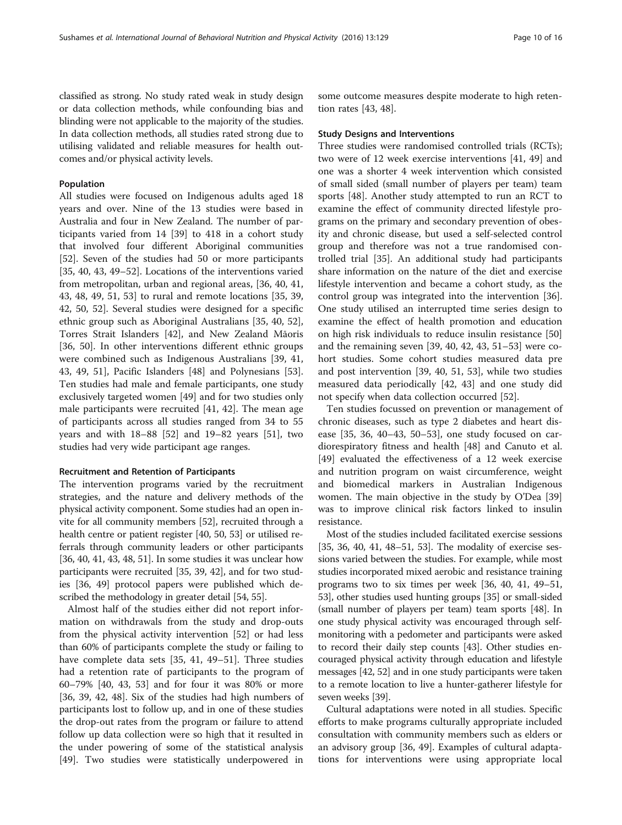classified as strong. No study rated weak in study design or data collection methods, while confounding bias and blinding were not applicable to the majority of the studies. In data collection methods, all studies rated strong due to utilising validated and reliable measures for health outcomes and/or physical activity levels.

#### Population

All studies were focused on Indigenous adults aged 18 years and over. Nine of the 13 studies were based in Australia and four in New Zealand. The number of participants varied from 14 [[39\]](#page-14-0) to 418 in a cohort study that involved four different Aboriginal communities [[52\]](#page-14-0). Seven of the studies had 50 or more participants [[35, 40, 43, 49](#page-14-0)–[52\]](#page-14-0). Locations of the interventions varied from metropolitan, urban and regional areas, [\[36](#page-14-0), [40](#page-14-0), [41](#page-14-0), [43, 48, 49](#page-14-0), [51, 53](#page-14-0)] to rural and remote locations [\[35](#page-14-0), [39](#page-14-0), [42, 50](#page-14-0), [52](#page-14-0)]. Several studies were designed for a specific ethnic group such as Aboriginal Australians [[35, 40, 52](#page-14-0)], Torres Strait Islanders [[42](#page-14-0)], and New Zealand Māoris [[36, 50](#page-14-0)]. In other interventions different ethnic groups were combined such as Indigenous Australians [[39](#page-14-0), [41](#page-14-0), [43, 49, 51](#page-14-0)], Pacific Islanders [[48\]](#page-14-0) and Polynesians [\[53](#page-14-0)]. Ten studies had male and female participants, one study exclusively targeted women [\[49](#page-14-0)] and for two studies only male participants were recruited [[41](#page-14-0), [42\]](#page-14-0). The mean age of participants across all studies ranged from 34 to 55 years and with 18–88 [[52](#page-14-0)] and 19–82 years [\[51](#page-14-0)], two studies had very wide participant age ranges.

#### Recruitment and Retention of Participants

The intervention programs varied by the recruitment strategies, and the nature and delivery methods of the physical activity component. Some studies had an open invite for all community members [[52](#page-14-0)], recruited through a health centre or patient register [\[40, 50, 53](#page-14-0)] or utilised referrals through community leaders or other participants [[36](#page-14-0), [40, 41](#page-14-0), [43, 48](#page-14-0), [51\]](#page-14-0). In some studies it was unclear how participants were recruited [\[35](#page-14-0), [39, 42\]](#page-14-0), and for two studies [\[36](#page-14-0), [49\]](#page-14-0) protocol papers were published which described the methodology in greater detail [\[54](#page-14-0), [55](#page-14-0)].

Almost half of the studies either did not report information on withdrawals from the study and drop-outs from the physical activity intervention [\[52](#page-14-0)] or had less than 60% of participants complete the study or failing to have complete data sets [[35, 41, 49](#page-14-0)–[51](#page-14-0)]. Three studies had a retention rate of participants to the program of 60–79% [[40, 43](#page-14-0), [53\]](#page-14-0) and for four it was 80% or more [[36, 39](#page-14-0), [42](#page-14-0), [48\]](#page-14-0). Six of the studies had high numbers of participants lost to follow up, and in one of these studies the drop-out rates from the program or failure to attend follow up data collection were so high that it resulted in the under powering of some of the statistical analysis [[49\]](#page-14-0). Two studies were statistically underpowered in some outcome measures despite moderate to high retention rates [\[43](#page-14-0), [48](#page-14-0)].

#### Study Designs and Interventions

Three studies were randomised controlled trials (RCTs); two were of 12 week exercise interventions [[41](#page-14-0), [49\]](#page-14-0) and one was a shorter 4 week intervention which consisted of small sided (small number of players per team) team sports [\[48](#page-14-0)]. Another study attempted to run an RCT to examine the effect of community directed lifestyle programs on the primary and secondary prevention of obesity and chronic disease, but used a self-selected control group and therefore was not a true randomised controlled trial [[35\]](#page-14-0). An additional study had participants share information on the nature of the diet and exercise lifestyle intervention and became a cohort study, as the control group was integrated into the intervention [\[36](#page-14-0)]. One study utilised an interrupted time series design to examine the effect of health promotion and education on high risk individuals to reduce insulin resistance [[50](#page-14-0)] and the remaining seven [[39](#page-14-0), [40](#page-14-0), [42](#page-14-0), [43](#page-14-0), [51](#page-14-0)–[53\]](#page-14-0) were cohort studies. Some cohort studies measured data pre and post intervention [\[39, 40](#page-14-0), [51, 53\]](#page-14-0), while two studies measured data periodically [[42](#page-14-0), [43\]](#page-14-0) and one study did not specify when data collection occurred [\[52](#page-14-0)].

Ten studies focussed on prevention or management of chronic diseases, such as type 2 diabetes and heart disease [\[35, 36, 40](#page-14-0)–[43, 50](#page-14-0)–[53\]](#page-14-0), one study focused on cardiorespiratory fitness and health [\[48](#page-14-0)] and Canuto et al. [[49\]](#page-14-0) evaluated the effectiveness of a 12 week exercise and nutrition program on waist circumference, weight and biomedical markers in Australian Indigenous women. The main objective in the study by O'Dea [[39](#page-14-0)] was to improve clinical risk factors linked to insulin resistance.

Most of the studies included facilitated exercise sessions [[35](#page-14-0), [36, 40](#page-14-0), [41](#page-14-0), [48](#page-14-0)–[51](#page-14-0), [53\]](#page-14-0). The modality of exercise sessions varied between the studies. For example, while most studies incorporated mixed aerobic and resistance training programs two to six times per week [[36](#page-14-0), [40](#page-14-0), [41](#page-14-0), [49](#page-14-0)–[51](#page-14-0), [53](#page-14-0)], other studies used hunting groups [\[35\]](#page-14-0) or small-sided (small number of players per team) team sports [\[48\]](#page-14-0). In one study physical activity was encouraged through selfmonitoring with a pedometer and participants were asked to record their daily step counts [[43\]](#page-14-0). Other studies encouraged physical activity through education and lifestyle messages [\[42, 52\]](#page-14-0) and in one study participants were taken to a remote location to live a hunter-gatherer lifestyle for seven weeks [\[39\]](#page-14-0).

Cultural adaptations were noted in all studies. Specific efforts to make programs culturally appropriate included consultation with community members such as elders or an advisory group [[36](#page-14-0), [49\]](#page-14-0). Examples of cultural adaptations for interventions were using appropriate local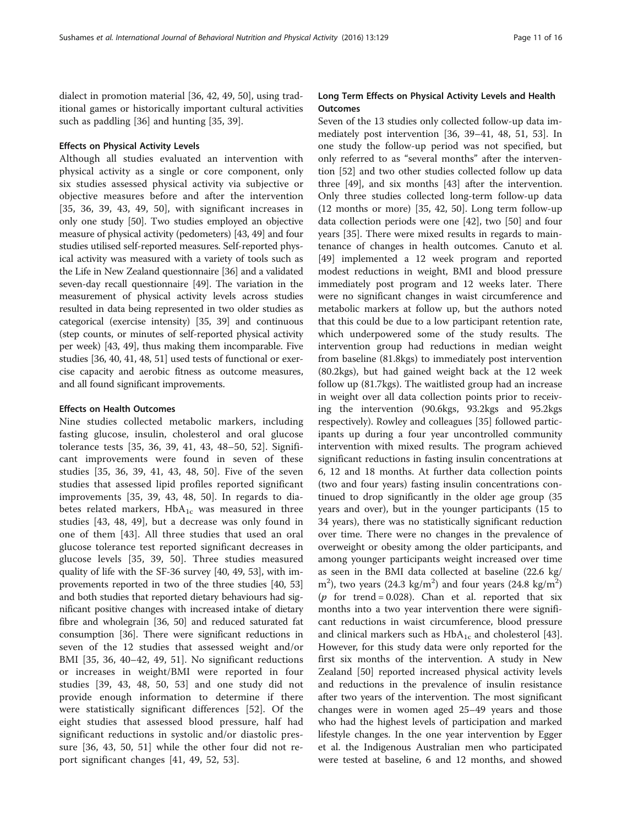dialect in promotion material [\[36, 42, 49, 50\]](#page-14-0), using traditional games or historically important cultural activities such as paddling [\[36\]](#page-14-0) and hunting [[35, 39\]](#page-14-0).

#### Effects on Physical Activity Levels

Although all studies evaluated an intervention with physical activity as a single or core component, only six studies assessed physical activity via subjective or objective measures before and after the intervention [[35, 36](#page-14-0), [39, 43](#page-14-0), [49, 50](#page-14-0)], with significant increases in only one study [\[50](#page-14-0)]. Two studies employed an objective measure of physical activity (pedometers) [\[43, 49\]](#page-14-0) and four studies utilised self-reported measures. Self-reported physical activity was measured with a variety of tools such as the Life in New Zealand questionnaire [\[36](#page-14-0)] and a validated seven-day recall questionnaire [[49](#page-14-0)]. The variation in the measurement of physical activity levels across studies resulted in data being represented in two older studies as categorical (exercise intensity) [\[35](#page-14-0), [39](#page-14-0)] and continuous (step counts, or minutes of self-reported physical activity per week) [\[43, 49\]](#page-14-0), thus making them incomparable. Five studies [\[36, 40](#page-14-0), [41, 48](#page-14-0), [51\]](#page-14-0) used tests of functional or exercise capacity and aerobic fitness as outcome measures, and all found significant improvements.

#### Effects on Health Outcomes

Nine studies collected metabolic markers, including fasting glucose, insulin, cholesterol and oral glucose tolerance tests [[35, 36](#page-14-0), [39, 41](#page-14-0), [43, 48](#page-14-0)–[50](#page-14-0), [52\]](#page-14-0). Significant improvements were found in seven of these studies [\[35, 36](#page-14-0), [39](#page-14-0), [41](#page-14-0), [43](#page-14-0), [48](#page-14-0), [50](#page-14-0)]. Five of the seven studies that assessed lipid profiles reported significant improvements [\[35](#page-14-0), [39](#page-14-0), [43](#page-14-0), [48](#page-14-0), [50](#page-14-0)]. In regards to diabetes related markers,  $HbA_{1c}$  was measured in three studies [[43](#page-14-0), [48](#page-14-0), [49\]](#page-14-0), but a decrease was only found in one of them [[43\]](#page-14-0). All three studies that used an oral glucose tolerance test reported significant decreases in glucose levels [[35](#page-14-0), [39](#page-14-0), [50\]](#page-14-0). Three studies measured quality of life with the SF-36 survey [\[40, 49](#page-14-0), [53](#page-14-0)], with improvements reported in two of the three studies [\[40, 53](#page-14-0)] and both studies that reported dietary behaviours had significant positive changes with increased intake of dietary fibre and wholegrain [\[36, 50\]](#page-14-0) and reduced saturated fat consumption [\[36](#page-14-0)]. There were significant reductions in seven of the 12 studies that assessed weight and/or BMI [\[35](#page-14-0), [36, 40](#page-14-0)–[42](#page-14-0), [49](#page-14-0), [51\]](#page-14-0). No significant reductions or increases in weight/BMI were reported in four studies [[39, 43, 48](#page-14-0), [50](#page-14-0), [53\]](#page-14-0) and one study did not provide enough information to determine if there were statistically significant differences [[52\]](#page-14-0). Of the eight studies that assessed blood pressure, half had significant reductions in systolic and/or diastolic pressure [[36, 43, 50](#page-14-0), [51](#page-14-0)] while the other four did not report significant changes [\[41](#page-14-0), [49](#page-14-0), [52, 53\]](#page-14-0).

#### Long Term Effects on Physical Activity Levels and Health **Outcomes**

Seven of the 13 studies only collected follow-up data immediately post intervention [\[36](#page-14-0), [39](#page-14-0)–[41](#page-14-0), [48, 51](#page-14-0), [53\]](#page-14-0). In one study the follow-up period was not specified, but only referred to as "several months" after the intervention [[52\]](#page-14-0) and two other studies collected follow up data three [[49](#page-14-0)], and six months [[43\]](#page-14-0) after the intervention. Only three studies collected long-term follow-up data (12 months or more) [[35, 42](#page-14-0), [50](#page-14-0)]. Long term follow-up data collection periods were one [\[42](#page-14-0)], two [[50\]](#page-14-0) and four years [[35\]](#page-14-0). There were mixed results in regards to maintenance of changes in health outcomes. Canuto et al. [[49\]](#page-14-0) implemented a 12 week program and reported modest reductions in weight, BMI and blood pressure immediately post program and 12 weeks later. There were no significant changes in waist circumference and metabolic markers at follow up, but the authors noted that this could be due to a low participant retention rate, which underpowered some of the study results. The intervention group had reductions in median weight from baseline (81.8kgs) to immediately post intervention (80.2kgs), but had gained weight back at the 12 week follow up (81.7kgs). The waitlisted group had an increase in weight over all data collection points prior to receiving the intervention (90.6kgs, 93.2kgs and 95.2kgs respectively). Rowley and colleagues [\[35](#page-14-0)] followed participants up during a four year uncontrolled community intervention with mixed results. The program achieved significant reductions in fasting insulin concentrations at 6, 12 and 18 months. At further data collection points (two and four years) fasting insulin concentrations continued to drop significantly in the older age group (35 years and over), but in the younger participants (15 to 34 years), there was no statistically significant reduction over time. There were no changes in the prevalence of overweight or obesity among the older participants, and among younger participants weight increased over time as seen in the BMI data collected at baseline (22.6 kg/ m<sup>2</sup>), two years (24.3 kg/m<sup>2</sup>) and four years (24.8 kg/m<sup>2</sup>) ( $p$  for trend = 0.028). Chan et al. reported that six months into a two year intervention there were significant reductions in waist circumference, blood pressure and clinical markers such as  $HbA_{1c}$  and cholesterol [\[43](#page-14-0)]. However, for this study data were only reported for the first six months of the intervention. A study in New Zealand [\[50\]](#page-14-0) reported increased physical activity levels and reductions in the prevalence of insulin resistance after two years of the intervention. The most significant changes were in women aged 25–49 years and those who had the highest levels of participation and marked lifestyle changes. In the one year intervention by Egger et al. the Indigenous Australian men who participated were tested at baseline, 6 and 12 months, and showed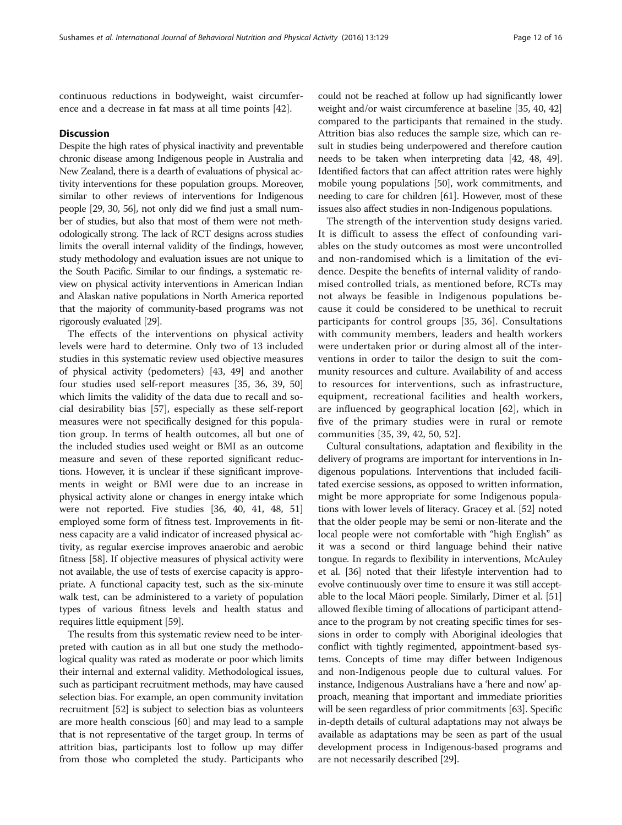continuous reductions in bodyweight, waist circumference and a decrease in fat mass at all time points [[42](#page-14-0)].

#### **Discussion**

Despite the high rates of physical inactivity and preventable chronic disease among Indigenous people in Australia and New Zealand, there is a dearth of evaluations of physical activity interventions for these population groups. Moreover, similar to other reviews of interventions for Indigenous people [[29](#page-14-0), [30, 56](#page-14-0)], not only did we find just a small number of studies, but also that most of them were not methodologically strong. The lack of RCT designs across studies limits the overall internal validity of the findings, however, study methodology and evaluation issues are not unique to the South Pacific. Similar to our findings, a systematic review on physical activity interventions in American Indian and Alaskan native populations in North America reported that the majority of community-based programs was not rigorously evaluated [[29](#page-14-0)].

The effects of the interventions on physical activity levels were hard to determine. Only two of 13 included studies in this systematic review used objective measures of physical activity (pedometers) [[43, 49\]](#page-14-0) and another four studies used self-report measures [[35](#page-14-0), [36](#page-14-0), [39, 50](#page-14-0)] which limits the validity of the data due to recall and social desirability bias [\[57](#page-14-0)], especially as these self-report measures were not specifically designed for this population group. In terms of health outcomes, all but one of the included studies used weight or BMI as an outcome measure and seven of these reported significant reductions. However, it is unclear if these significant improvements in weight or BMI were due to an increase in physical activity alone or changes in energy intake which were not reported. Five studies [[36](#page-14-0), [40, 41, 48](#page-14-0), [51](#page-14-0)] employed some form of fitness test. Improvements in fitness capacity are a valid indicator of increased physical activity, as regular exercise improves anaerobic and aerobic fitness [\[58\]](#page-14-0). If objective measures of physical activity were not available, the use of tests of exercise capacity is appropriate. A functional capacity test, such as the six-minute walk test, can be administered to a variety of population types of various fitness levels and health status and requires little equipment [\[59\]](#page-14-0).

The results from this systematic review need to be interpreted with caution as in all but one study the methodological quality was rated as moderate or poor which limits their internal and external validity. Methodological issues, such as participant recruitment methods, may have caused selection bias. For example, an open community invitation recruitment [[52](#page-14-0)] is subject to selection bias as volunteers are more health conscious [[60](#page-14-0)] and may lead to a sample that is not representative of the target group. In terms of attrition bias, participants lost to follow up may differ from those who completed the study. Participants who could not be reached at follow up had significantly lower weight and/or waist circumference at baseline [\[35, 40, 42](#page-14-0)] compared to the participants that remained in the study. Attrition bias also reduces the sample size, which can result in studies being underpowered and therefore caution needs to be taken when interpreting data [\[42](#page-14-0), [48, 49](#page-14-0)]. Identified factors that can affect attrition rates were highly mobile young populations [[50](#page-14-0)], work commitments, and needing to care for children [[61](#page-14-0)]. However, most of these issues also affect studies in non-Indigenous populations.

The strength of the intervention study designs varied. It is difficult to assess the effect of confounding variables on the study outcomes as most were uncontrolled and non-randomised which is a limitation of the evidence. Despite the benefits of internal validity of randomised controlled trials, as mentioned before, RCTs may not always be feasible in Indigenous populations because it could be considered to be unethical to recruit participants for control groups [[35, 36](#page-14-0)]. Consultations with community members, leaders and health workers were undertaken prior or during almost all of the interventions in order to tailor the design to suit the community resources and culture. Availability of and access to resources for interventions, such as infrastructure, equipment, recreational facilities and health workers, are influenced by geographical location [\[62](#page-14-0)], which in five of the primary studies were in rural or remote communities [[35, 39](#page-14-0), [42](#page-14-0), [50](#page-14-0), [52\]](#page-14-0).

Cultural consultations, adaptation and flexibility in the delivery of programs are important for interventions in Indigenous populations. Interventions that included facilitated exercise sessions, as opposed to written information, might be more appropriate for some Indigenous populations with lower levels of literacy. Gracey et al. [[52](#page-14-0)] noted that the older people may be semi or non-literate and the local people were not comfortable with "high English" as it was a second or third language behind their native tongue. In regards to flexibility in interventions, McAuley et al. [[36](#page-14-0)] noted that their lifestyle intervention had to evolve continuously over time to ensure it was still acceptable to the local Māori people. Similarly, Dimer et al. [[51](#page-14-0)] allowed flexible timing of allocations of participant attendance to the program by not creating specific times for sessions in order to comply with Aboriginal ideologies that conflict with tightly regimented, appointment-based systems. Concepts of time may differ between Indigenous and non-Indigenous people due to cultural values. For instance, Indigenous Australians have a 'here and now' approach, meaning that important and immediate priorities will be seen regardless of prior commitments [\[63](#page-14-0)]. Specific in-depth details of cultural adaptations may not always be available as adaptations may be seen as part of the usual development process in Indigenous-based programs and are not necessarily described [[29](#page-14-0)].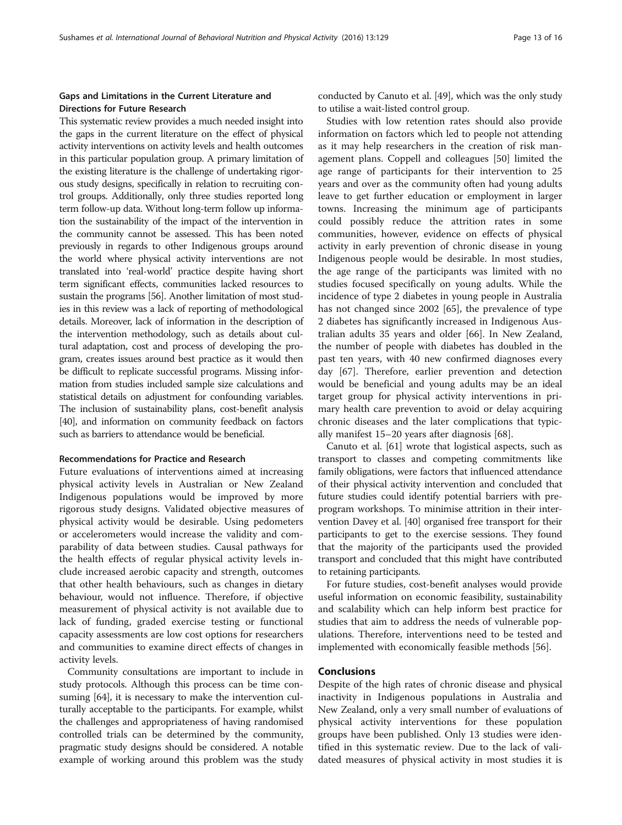#### Gaps and Limitations in the Current Literature and Directions for Future Research

This systematic review provides a much needed insight into the gaps in the current literature on the effect of physical activity interventions on activity levels and health outcomes in this particular population group. A primary limitation of the existing literature is the challenge of undertaking rigorous study designs, specifically in relation to recruiting control groups. Additionally, only three studies reported long term follow-up data. Without long-term follow up information the sustainability of the impact of the intervention in the community cannot be assessed. This has been noted previously in regards to other Indigenous groups around the world where physical activity interventions are not translated into 'real-world' practice despite having short term significant effects, communities lacked resources to sustain the programs [[56](#page-14-0)]. Another limitation of most studies in this review was a lack of reporting of methodological details. Moreover, lack of information in the description of the intervention methodology, such as details about cultural adaptation, cost and process of developing the program, creates issues around best practice as it would then be difficult to replicate successful programs. Missing information from studies included sample size calculations and statistical details on adjustment for confounding variables. The inclusion of sustainability plans, cost-benefit analysis [[40](#page-14-0)], and information on community feedback on factors such as barriers to attendance would be beneficial.

#### Recommendations for Practice and Research

Future evaluations of interventions aimed at increasing physical activity levels in Australian or New Zealand Indigenous populations would be improved by more rigorous study designs. Validated objective measures of physical activity would be desirable. Using pedometers or accelerometers would increase the validity and comparability of data between studies. Causal pathways for the health effects of regular physical activity levels include increased aerobic capacity and strength, outcomes that other health behaviours, such as changes in dietary behaviour, would not influence. Therefore, if objective measurement of physical activity is not available due to lack of funding, graded exercise testing or functional capacity assessments are low cost options for researchers and communities to examine direct effects of changes in activity levels.

Community consultations are important to include in study protocols. Although this process can be time consuming [[64](#page-14-0)], it is necessary to make the intervention culturally acceptable to the participants. For example, whilst the challenges and appropriateness of having randomised controlled trials can be determined by the community, pragmatic study designs should be considered. A notable example of working around this problem was the study conducted by Canuto et al. [\[49\]](#page-14-0), which was the only study to utilise a wait-listed control group.

Studies with low retention rates should also provide information on factors which led to people not attending as it may help researchers in the creation of risk management plans. Coppell and colleagues [[50](#page-14-0)] limited the age range of participants for their intervention to 25 years and over as the community often had young adults leave to get further education or employment in larger towns. Increasing the minimum age of participants could possibly reduce the attrition rates in some communities, however, evidence on effects of physical activity in early prevention of chronic disease in young Indigenous people would be desirable. In most studies, the age range of the participants was limited with no studies focused specifically on young adults. While the incidence of type 2 diabetes in young people in Australia has not changed since 2002 [\[65](#page-14-0)], the prevalence of type 2 diabetes has significantly increased in Indigenous Australian adults 35 years and older [\[66](#page-14-0)]. In New Zealand, the number of people with diabetes has doubled in the past ten years, with 40 new confirmed diagnoses every day [[67\]](#page-15-0). Therefore, earlier prevention and detection would be beneficial and young adults may be an ideal target group for physical activity interventions in primary health care prevention to avoid or delay acquiring chronic diseases and the later complications that typically manifest 15–20 years after diagnosis [\[68](#page-15-0)].

Canuto et al. [[61](#page-14-0)] wrote that logistical aspects, such as transport to classes and competing commitments like family obligations, were factors that influenced attendance of their physical activity intervention and concluded that future studies could identify potential barriers with preprogram workshops. To minimise attrition in their intervention Davey et al. [\[40\]](#page-14-0) organised free transport for their participants to get to the exercise sessions. They found that the majority of the participants used the provided transport and concluded that this might have contributed to retaining participants.

For future studies, cost-benefit analyses would provide useful information on economic feasibility, sustainability and scalability which can help inform best practice for studies that aim to address the needs of vulnerable populations. Therefore, interventions need to be tested and implemented with economically feasible methods [\[56\]](#page-14-0).

#### Conclusions

Despite of the high rates of chronic disease and physical inactivity in Indigenous populations in Australia and New Zealand, only a very small number of evaluations of physical activity interventions for these population groups have been published. Only 13 studies were identified in this systematic review. Due to the lack of validated measures of physical activity in most studies it is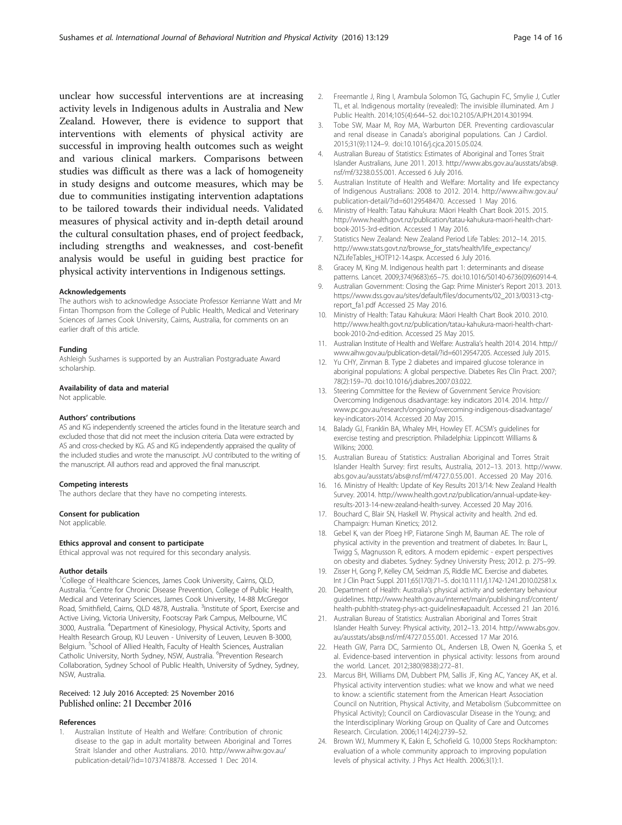<span id="page-13-0"></span>unclear how successful interventions are at increasing activity levels in Indigenous adults in Australia and New Zealand. However, there is evidence to support that interventions with elements of physical activity are successful in improving health outcomes such as weight and various clinical markers. Comparisons between studies was difficult as there was a lack of homogeneity in study designs and outcome measures, which may be due to communities instigating intervention adaptations to be tailored towards their individual needs. Validated measures of physical activity and in-depth detail around the cultural consultation phases, end of project feedback, including strengths and weaknesses, and cost-benefit analysis would be useful in guiding best practice for physical activity interventions in Indigenous settings.

#### Acknowledgements

The authors wish to acknowledge Associate Professor Kerrianne Watt and Mr Fintan Thompson from the College of Public Health, Medical and Veterinary Sciences of James Cook University, Cairns, Australia, for comments on an earlier draft of this article.

#### Funding

Ashleigh Sushames is supported by an Australian Postgraduate Award scholarship.

#### Availability of data and material

Not applicable.

#### Authors' contributions

AS and KG independently screened the articles found in the literature search and excluded those that did not meet the inclusion criteria. Data were extracted by AS and cross-checked by KG. AS and KG independently appraised the quality of the included studies and wrote the manuscript. JvU contributed to the writing of the manuscript. All authors read and approved the final manuscript.

#### Competing interests

The authors declare that they have no competing interests.

#### Consent for publication

Not applicable.

#### Ethics approval and consent to participate

Ethical approval was not required for this secondary analysis.

#### Author details

<sup>1</sup>College of Healthcare Sciences, James Cook University, Cairns, QLD, Australia. <sup>2</sup> Centre for Chronic Disease Prevention, College of Public Health, Medical and Veterinary Sciences, James Cook University, 14-88 McGregor Road, Smithfield, Cairns, QLD 4878, Australia. <sup>3</sup>Institute of Sport, Exercise and Active Living, Victoria University, Footscray Park Campus, Melbourne, VIC 3000, Australia. <sup>4</sup> Department of Kinesiology, Physical Activity, Sports and Health Research Group, KU Leuven - University of Leuven, Leuven B-3000, Belgium. <sup>5</sup>School of Allied Health, Faculty of Health Sciences, Australian Catholic University, North Sydney, NSW, Australia. <sup>6</sup>Prevention Research Collaboration, Sydney School of Public Health, University of Sydney, Sydney, NSW, Australia.

#### Received: 12 July 2016 Accepted: 25 November 2016 Published online: 21 December 2016

#### References

1. Australian Institute of Health and Welfare: Contribution of chronic disease to the gap in adult mortality between Aboriginal and Torres Strait Islander and other Australians. 2010. [http://www.aihw.gov.au/](http://www.aihw.gov.au/publication-detail/?id=10737418878) [publication-detail/?id=10737418878.](http://www.aihw.gov.au/publication-detail/?id=10737418878) Accessed 1 Dec 2014.

- 2. Freemantle J, Ring I, Arambula Solomon TG, Gachupin FC, Smylie J, Cutler TL, et al. Indigenous mortality (revealed): The invisible illuminated. Am J Public Health. 2014;105(4):644–52. doi:[10.2105/AJPH.2014.301994](http://dx.doi.org/10.2105/AJPH.2014.301994).
- 3. Tobe SW, Maar M, Roy MA, Warburton DER. Preventing cardiovascular and renal disease in Canada's aboriginal populations. Can J Cardiol. 2015;31(9):1124–9. doi:[10.1016/j.cjca.2015.05.024.](http://dx.doi.org/10.1016/j.cjca.2015.05.024)
- 4. Australian Bureau of Statistics: Estimates of Aboriginal and Torres Strait Islander Australians, June 2011. 2013. [http://www.abs.gov.au/ausstats/abs@.](http://www.abs.gov.au/ausstats/abs@.nsf/mf/3238.0.55.001) [nsf/mf/3238.0.55.001](http://www.abs.gov.au/ausstats/abs@.nsf/mf/3238.0.55.001). Accessed 6 July 2016.
- 5. Australian Institute of Health and Welfare: Mortality and life expectancy of Indigenous Australians: 2008 to 2012. 2014. [http://www.aihw.gov.au/](http://www.aihw.gov.au/publication-detail/?id=60129548470) [publication-detail/?id=60129548470.](http://www.aihw.gov.au/publication-detail/?id=60129548470) Accessed 1 May 2016.
- 6. Ministry of Health: Tatau Kahukura: Māori Health Chart Book 2015. 2015. [http://www.health.govt.nz/publication/tatau-kahukura-maori-health-chart](http://www.health.govt.nz/publication/tatau-kahukura-maori-health-chart-book-2015-3rd-edition)[book-2015-3rd-edition](http://www.health.govt.nz/publication/tatau-kahukura-maori-health-chart-book-2015-3rd-edition). Accessed 1 May 2016.
- 7. Statistics New Zealand: New Zealand Period Life Tables: 2012–14. 2015. [http://www.stats.govt.nz/browse\\_for\\_stats/health/life\\_expectancy/](http://www.stats.govt.nz/browse_for_stats/health/life_expectancy/NZLifeTables_HOTP12-14.aspx) [NZLifeTables\\_HOTP12-14.aspx.](http://www.stats.govt.nz/browse_for_stats/health/life_expectancy/NZLifeTables_HOTP12-14.aspx) Accessed 6 July 2016.
- 8. Gracey M, King M. Indigenous health part 1: determinants and disease patterns. Lancet. 2009;374(9683):65–75. doi:[10.1016/S0140-6736\(09\)60914-4.](http://dx.doi.org/10.1016/S0140-6736(09)60914-4)
- 9. Australian Government: Closing the Gap: Prime Minister's Report 2013. 2013. [https://www.dss.gov.au/sites/default/files/documents/02\\_2013/00313-ctg](https://www.dss.gov.au/sites/default/files/documents/02_2013/00313-ctg-report_fa1.pdf)[report\\_fa1.pdf](https://www.dss.gov.au/sites/default/files/documents/02_2013/00313-ctg-report_fa1.pdf) Accessed 25 May 2016.
- 10. Ministry of Health: Tatau Kahukura: Māori Health Chart Book 2010. 2010. [http://www.health.govt.nz/publication/tatau-kahukura-maori-health-chart](http://www.health.govt.nz/publication/tatau-kahukura-maori-health-chart-book-2010-2nd-edition)[book-2010-2nd-edition](http://www.health.govt.nz/publication/tatau-kahukura-maori-health-chart-book-2010-2nd-edition). Accessed 25 May 2015.
- 11. Australian Institute of Health and Welfare: Australia's health 2014. 2014. [http://](http://www.aihw.gov.au/publication-detail/?id=60129547205) [www.aihw.gov.au/publication-detail/?id=60129547205.](http://www.aihw.gov.au/publication-detail/?id=60129547205) Accessed July 2015.
- 12. Yu CHY, Zinman B. Type 2 diabetes and impaired glucose tolerance in aboriginal populations: A global perspective. Diabetes Res Clin Pract. 2007; 78(2):159–70. doi[:10.1016/j.diabres.2007.03.022.](http://dx.doi.org/10.1016/j.diabres.2007.03.022)
- 13. Steering Committee for the Review of Government Service Provision: Overcoming Indigenous disadvantage: key indicators 2014. 2014. [http://](http://www.pc.gov.au/research/ongoing/overcoming-indigenous-disadvantage/key-indicators-2014) [www.pc.gov.au/research/ongoing/overcoming-indigenous-disadvantage/](http://www.pc.gov.au/research/ongoing/overcoming-indigenous-disadvantage/key-indicators-2014) [key-indicators-2014.](http://www.pc.gov.au/research/ongoing/overcoming-indigenous-disadvantage/key-indicators-2014) Accessed 20 May 2015.
- 14. Balady GJ, Franklin BA, Whaley MH, Howley ET. ACSM's guidelines for exercise testing and prescription. Philadelphia: Lippincott Williams & Wilkins; 2000.
- 15. Australian Bureau of Statistics: Australian Aboriginal and Torres Strait Islander Health Survey: first results, Australia, 2012–13. 2013. [http://www.](http://www.abs.gov.au/ausstats/abs@.nsf/mf/4727.0.55.001) [abs.gov.au/ausstats/abs@.nsf/mf/4727.0.55.001](http://www.abs.gov.au/ausstats/abs@.nsf/mf/4727.0.55.001). Accessed 20 May 2016.
- 16. 16. Ministry of Health: Update of Key Results 2013/14: New Zealand Health Survey. 20014. [http://www.health.govt.nz/publication/annual-update-key](http://www.health.govt.nz/publication/annual-update-key-results-2013-14-new-zealand-health-survey)[results-2013-14-new-zealand-health-survey.](http://www.health.govt.nz/publication/annual-update-key-results-2013-14-new-zealand-health-survey) Accessed 20 May 2016.
- 17. Bouchard C, Blair SN, Haskell W. Physical activity and health. 2nd ed. Champaign: Human Kinetics; 2012.
- 18. Gebel K, van der Ploeg HP, Fiatarone Singh M, Bauman AE. The role of physical activity in the prevention and treatment of diabetes. In: Baur L, Twigg S, Magnusson R, editors. A modern epidemic - expert perspectives on obesity and diabetes. Sydney: Sydney University Press; 2012. p. 275–99.
- 19. Zisser H, Gong P, Kelley CM, Seidman JS, Riddle MC. Exercise and diabetes. Int J Clin Pract Suppl. 2011;65(170):71–5. doi:[10.1111/j.1742-1241.2010.02581.x](http://dx.doi.org/10.1111/j.1742-1241.2010.02581.x).
- 20. Department of Health: Australia's physical activity and sedentary behaviour guidelines. [http://www.health.gov.au/internet/main/publishing.nsf/content/](http://www.health.gov.au/internet/main/publishing.nsf/content/health-pubhlth-strateg-phys-act-guidelines#apaadult) [health-pubhlth-strateg-phys-act-guidelines#apaadult.](http://www.health.gov.au/internet/main/publishing.nsf/content/health-pubhlth-strateg-phys-act-guidelines#apaadult) Accessed 21 Jan 2016.
- 21. Australian Bureau of Statistics: Australian Aboriginal and Torres Strait Islander Health Survey: Physical activity, 2012–13. 2014. [http://www.abs.gov.](http://www.abs.gov.au/ausstats/abs@.nsf/mf/4727.0.55.001) [au/ausstats/abs@.nsf/mf/4727.0.55.001.](http://www.abs.gov.au/ausstats/abs@.nsf/mf/4727.0.55.001) Accessed 17 Mar 2016.
- 22. Heath GW, Parra DC, Sarmiento OL, Andersen LB, Owen N, Goenka S, et al. Evidence-based intervention in physical activity: lessons from around the world. Lancet. 2012;380(9838):272–81.
- 23. Marcus BH, Williams DM, Dubbert PM, Sallis JF, King AC, Yancey AK, et al. Physical activity intervention studies: what we know and what we need to know: a scientific statement from the American Heart Association Council on Nutrition, Physical Activity, and Metabolism (Subcommittee on Physical Activity); Council on Cardiovascular Disease in the Young; and the Interdisciplinary Working Group on Quality of Care and Outcomes Research. Circulation. 2006;114(24):2739–52.
- 24. Brown WJ, Mummery K, Eakin E, Schofield G. 10,000 Steps Rockhampton: evaluation of a whole community approach to improving population levels of physical activity. J Phys Act Health. 2006;3(1):1.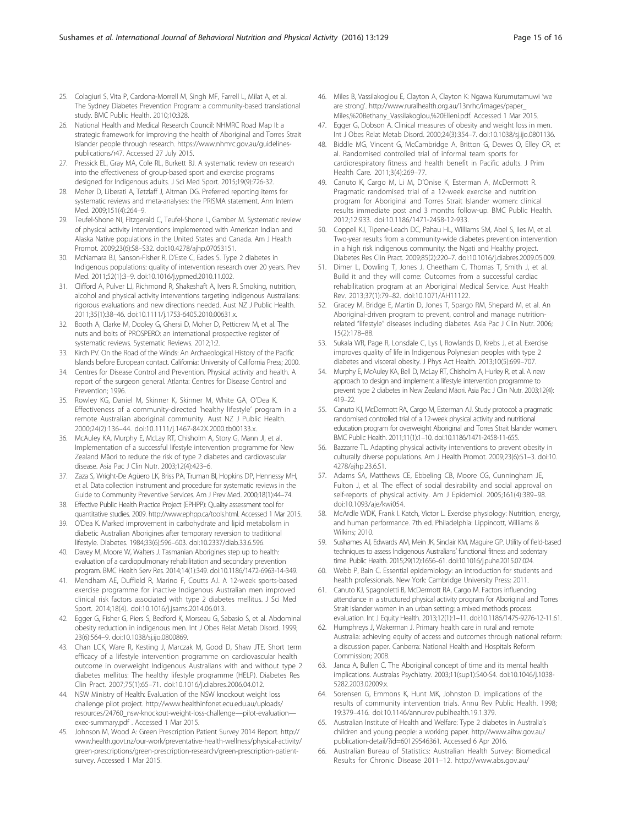- <span id="page-14-0"></span>25. Colagiuri S, Vita P, Cardona-Morrell M, Singh MF, Farrell L, Milat A, et al. The Sydney Diabetes Prevention Program: a community-based translational study. BMC Public Health. 2010;10:328.
- 26. National Health and Medical Research Council: NHMRC Road Map II: a strategic framework for improving the health of Aboriginal and Torres Strait Islander people through research. [https://www.nhmrc.gov.au/guidelines](https://www.nhmrc.gov.au/guidelines-publications/r47)[publications/r47.](https://www.nhmrc.gov.au/guidelines-publications/r47) Accessed 27 July 2015.
- 27. Pressick EL, Gray MA, Cole RL, Burkett BJ. A systematic review on research into the effectiveness of group-based sport and exercise programs designed for Indigenous adults. J Sci Med Sport. 2015;19(9):726-32.
- 28. Moher D, Liberati A, Tetzlaff J, Altman DG. Preferred reporting items for systematic reviews and meta-analyses: the PRISMA statement. Ann Intern Med. 2009;151(4):264–9.
- 29. Teufel-Shone NI, Fitzgerald C, Teufel-Shone L, Gamber M. Systematic review of physical activity interventions implemented with American Indian and Alaska Native populations in the United States and Canada. Am J Health Promot. 2009;23(6):S8–S32. doi[:10.4278/ajhp.07053151](http://dx.doi.org/10.4278/ajhp.07053151).
- 30. McNamara BJ, Sanson-Fisher R, D'Este C, Eades S. Type 2 diabetes in Indigenous populations: quality of intervention research over 20 years. Prev Med. 2011;52(1):3–9. doi:[10.1016/j.ypmed.2010.11.002.](http://dx.doi.org/10.1016/j.ypmed.2010.11.002)
- 31. Clifford A, Pulver LJ, Richmond R, Shakeshaft A, Ivers R. Smoking, nutrition, alcohol and physical activity interventions targeting Indigenous Australians: rigorous evaluations and new directions needed. Aust NZ J Public Health. 2011;35(1):38–46. doi[:10.1111/j.1753-6405.2010.00631.x.](http://dx.doi.org/10.1111/j.1753-6405.2010.00631.x)
- 32. Booth A, Clarke M, Dooley G, Ghersi D, Moher D, Petticrew M, et al. The nuts and bolts of PROSPERO: an international prospective register of systematic reviews. Systematic Reviews. 2012;1:2.
- 33. Kirch PV. On the Road of the Winds: An Archaeological History of the Pacific Islands before European contact. California: University of California Press; 2000.
- 34. Centres for Disease Control and Prevention. Physical activity and health. A report of the surgeon general. Atlanta: Centres for Disease Control and Prevention: 1996.
- 35. Rowley KG, Daniel M, Skinner K, Skinner M, White GA, O'Dea K. Effectiveness of a community-directed 'healthy lifestyle' program in a remote Australian aboriginal community. Aust NZ J Public Health. 2000;24(2):136–44. doi:[10.1111/j.1467-842X.2000.tb00133.x.](http://dx.doi.org/10.1111/j.1467-842X.2000.tb00133.x)
- 36. McAuley KA, Murphy E, McLay RT, Chisholm A, Story G, Mann JI, et al. Implementation of a successful lifestyle intervention programme for New Zealand Māori to reduce the risk of type 2 diabetes and cardiovascular disease. Asia Pac J Clin Nutr. 2003;12(4):423–6.
- 37. Zaza S, Wright-De Agüero LK, Briss PA, Truman BI, Hopkins DP, Hennessy MH, et al. Data collection instrument and procedure for systematic reviews in the Guide to Community Preventive Services. Am J Prev Med. 2000;18(1):44–74.
- 38. Effective Public Health Practice Project (EPHPP): Quality assessment tool for quantitative studies. 2009.<http://www.ephpp.ca/tools.html>. Accessed 1 Mar 2015.
- 39. O'Dea K. Marked improvement in carbohydrate and lipid metabolism in diabetic Australian Aborigines after temporary reversion to traditional lifestyle. Diabetes. 1984;33(6):596–603. doi:[10.2337/diab.33.6.596](http://dx.doi.org/10.2337/diab.33.6.596).
- 40. Davey M, Moore W, Walters J. Tasmanian Aborigines step up to health: evaluation of a cardiopulmonary rehabilitation and secondary prevention program. BMC Health Serv Res. 2014;14(1):349. doi[:10.1186/1472-6963-14-349.](http://dx.doi.org/10.1186/1472-6963-14-349)
- 41. Mendham AE, Duffield R, Marino F, Coutts AJ. A 12-week sports-based exercise programme for inactive Indigenous Australian men improved clinical risk factors associated with type 2 diabetes mellitus. J Sci Med Sport. 2014;18(4). doi:[10.1016/j.jsams.2014.06.013](http://dx.doi.org/10.1016/j.jsams.2014.06.013).
- 42. Egger G, Fisher G, Piers S, Bedford K, Morseau G, Sabasio S, et al. Abdominal obesity reduction in indigenous men. Int J Obes Relat Metab Disord. 1999; 23(6):564–9. doi:[10.1038/sj.ijo.0800869.](http://dx.doi.org/10.1038/sj.ijo.0800869)
- 43. Chan LCK, Ware R, Kesting J, Marczak M, Good D, Shaw JTE. Short term efficacy of a lifestyle intervention programme on cardiovascular health outcome in overweight Indigenous Australians with and without type 2 diabetes mellitus: The healthy lifestyle programme (HELP). Diabetes Res Clin Pract. 2007;75(1):65–71. doi:[10.1016/j.diabres.2006.04.012.](http://dx.doi.org/10.1016/j.diabres.2006.04.012)
- 44. NSW Ministry of Health: Evaluation of the NSW knockout weight loss challenge pilot project. [http://www.healthinfonet.ecu.edu.au/uploads/](http://www.healthinfonet.ecu.edu.au/uploads/resources/24760_nsw-knockout-weight-loss-challenge-%2D-pilot-evaluation-%2D-exec-summary.pdf) [resources/24760\\_nsw-knockout-weight-loss-challenge](http://www.healthinfonet.ecu.edu.au/uploads/resources/24760_nsw-knockout-weight-loss-challenge-%2D-pilot-evaluation-%2D-exec-summary.pdf)—pilot-evaluation [exec-summary.pdf](http://www.healthinfonet.ecu.edu.au/uploads/resources/24760_nsw-knockout-weight-loss-challenge-%2D-pilot-evaluation-%2D-exec-summary.pdf) . Accessed 1 Mar 2015.
- 45. Johnson M, Wood A: Green Prescription Patient Survey 2014 Report. [http://](http://www.health.govt.nz/our-work/preventative-health-wellness/physical-activity/green-prescriptions/green-prescription-research/green-prescription-patient-survey) [www.health.govt.nz/our-work/preventative-health-wellness/physical-activity/](http://www.health.govt.nz/our-work/preventative-health-wellness/physical-activity/green-prescriptions/green-prescription-research/green-prescription-patient-survey) [green-prescriptions/green-prescription-research/green-prescription-patient](http://www.health.govt.nz/our-work/preventative-health-wellness/physical-activity/green-prescriptions/green-prescription-research/green-prescription-patient-survey)[survey.](http://www.health.govt.nz/our-work/preventative-health-wellness/physical-activity/green-prescriptions/green-prescription-research/green-prescription-patient-survey) Accessed 1 Mar 2015.
- 46. Miles B, Vassilakoglou E, Clayton A, Clayton K: Ngawa Kurumutamuwi 'we are strong'. [http://www.ruralhealth.org.au/13nrhc/images/paper\\_](http://www.ruralhealth.org.au/13nrhc/images/paper_Miles,%20Bethany_Vassilakoglou,%20Elleni.pdf) [Miles,%20Bethany\\_Vassilakoglou,%20Elleni.pdf.](http://www.ruralhealth.org.au/13nrhc/images/paper_Miles,%20Bethany_Vassilakoglou,%20Elleni.pdf) Accessed 1 Mar 2015.
- 47. Egger G, Dobson A. Clinical measures of obesity and weight loss in men. Int J Obes Relat Metab Disord. 2000;24(3):354–7. doi[:10.1038/sj.ijo.0801136.](http://dx.doi.org/10.1038/sj.ijo.0801136)
- 48. Biddle MG, Vincent G, McCambridge A, Britton G, Dewes O, Elley CR, et al. Randomised controlled trial of informal team sports for cardiorespiratory fitness and health benefit in Pacific adults. J Prim Health Care. 2011;3(4):269–77.
- 49. Canuto K, Cargo M, Li M, D'Onise K, Esterman A, McDermott R. Pragmatic randomised trial of a 12-week exercise and nutrition program for Aboriginal and Torres Strait Islander women: clinical results immediate post and 3 months follow-up. BMC Public Health. 2012;12:933. doi:[10.1186/1471-2458-12-933.](http://dx.doi.org/10.1186/1471-2458-12-933)
- 50. Coppell KJ, Tipene-Leach DC, Pahau HL, Williams SM, Abel S, IIes M, et al. Two-year results from a community-wide diabetes prevention intervention in a high risk indigenous community: the Ngati and Healthy project. Diabetes Res Clin Pract. 2009;85(2):220–7. doi[:10.1016/j.diabres.2009.05.009.](http://dx.doi.org/10.1016/j.diabres.2009.05.009)
- 51. Dimer L, Dowling T, Jones J, Cheetham C, Thomas T, Smith J, et al. Build it and they will come: Outcomes from a successful cardiac rehabilitation program at an Aboriginal Medical Service. Aust Health Rev. 2013;37(1):79–82. doi:[10.1071/AH11122.](http://dx.doi.org/10.1071/AH11122)
- 52. Gracey M, Bridge E, Martin D, Jones T, Spargo RM, Shepard M, et al. An Aboriginal-driven program to prevent, control and manage nutritionrelated "lifestyle" diseases including diabetes. Asia Pac J Clin Nutr. 2006; 15(2):178–88.
- 53. Sukala WR, Page R, Lonsdale C, Lys I, Rowlands D, Krebs J, et al. Exercise improves quality of life in Indigenous Polynesian peoples with type 2 diabetes and visceral obesity. J Phys Act Health. 2013;10(5):699–707.
- 54. Murphy E, McAuley KA, Bell D, McLay RT, Chisholm A, Hurley R, et al. A new approach to design and implement a lifestyle intervention programme to prevent type 2 diabetes in New Zealand Māori. Asia Pac J Clin Nutr. 2003;12(4): 419–22.
- 55. Canuto KJ, McDermott RA, Cargo M, Esterman AJ. Study protocol: a pragmatic randomised controlled trial of a 12-week physical activity and nutritional education program for overweight Aboriginal and Torres Strait Islander women. BMC Public Health. 2011;11(1):1–10. doi[:10.1186/1471-2458-11-655.](http://dx.doi.org/10.1186/1471-2458-11-655)
- 56. Bazzarre TL. Adapting physical activity interventions to prevent obesity in culturally diverse populations. Am J Health Promot. 2009;23(6):S1–3. doi:[10.](http://dx.doi.org/10.4278/ajhp.23.6.S1) [4278/ajhp.23.6.S1.](http://dx.doi.org/10.4278/ajhp.23.6.S1)
- 57. Adams SA, Matthews CE, Ebbeling CB, Moore CG, Cunningham JE, Fulton J, et al. The effect of social desirability and social approval on self-reports of physical activity. Am J Epidemiol. 2005;161(4):389–98. doi[:10.1093/aje/kwi054](http://dx.doi.org/10.1093/aje/kwi054).
- 58. McArdle WDK, Frank I. Katch, Victor L. Exercise physiology: Nutrition, energy, and human performance. 7th ed. Philadelphia: Lippincott, Williams & Wilkins; 2010.
- 59. Sushames AJ, Edwards AM, Mein JK, Sinclair KM, Maguire GP. Utility of field-based techniques to assess Indigenous Australians' functional fitness and sedentary time. Public Health. 2015;29(12):1656–61. doi[:10.1016/j.puhe.2015.07.024](http://dx.doi.org/10.1016/j.puhe.2015.07.024).
- 60. Webb P, Bain C. Essential epidemiology: an introduction for students and health professionals. New York: Cambridge University Press; 2011.
- 61. Canuto KJ, Spagnoletti B, McDermott RA, Cargo M. Factors influencing attendance in a structured physical activity program for Aboriginal and Torres Strait Islander women in an urban setting: a mixed methods process evaluation. Int J Equity Health. 2013;12(1):1–11. doi[:10.1186/1475-9276-12-11.61.](http://dx.doi.org/10.1186/1475-9276-12-11.61)
- 62. Humphreys J, Wakerman J. Primary health care in rural and remote Australia: achieving equity of access and outcomes through national reform: a discussion paper. Canberra: National Health and Hospitals Reform Commission; 2008.
- 63. Janca A, Bullen C. The Aboriginal concept of time and its mental health implications. Australas Psychiatry. 2003;11(sup1):S40-S4. doi:[10.1046/j.1038-](http://dx.doi.org/10.1046/j.1038-5282.2003.02009.x) [5282.2003.02009.x.](http://dx.doi.org/10.1046/j.1038-5282.2003.02009.x)
- 64. Sorensen G, Emmons K, Hunt MK, Johnston D. Implications of the results of community intervention trials. Annu Rev Public Health. 1998; 19:379–416. doi[:10.1146/annurev.publhealth.19.1.379.](http://dx.doi.org/10.1146/annurev.publhealth.19.1.379)
- 65. Australian Institute of Health and Welfare: Type 2 diabetes in Australia's children and young people: a working paper. [http://www.aihw.gov.au/](http://www.aihw.gov.au/publication-detail/?id=60129546361) [publication-detail/?id=60129546361.](http://www.aihw.gov.au/publication-detail/?id=60129546361) Accessed 6 Apr 2016.
- 66. Australian Bureau of Statistics: Australian Health Survey: Biomedical Results for Chronic Disease 2011–12. [http://www.abs.gov.au/](http://www.abs.gov.au/AUSSTATS/abs@.nsf/Lookup/4364.0.55.005main+features12011-12)